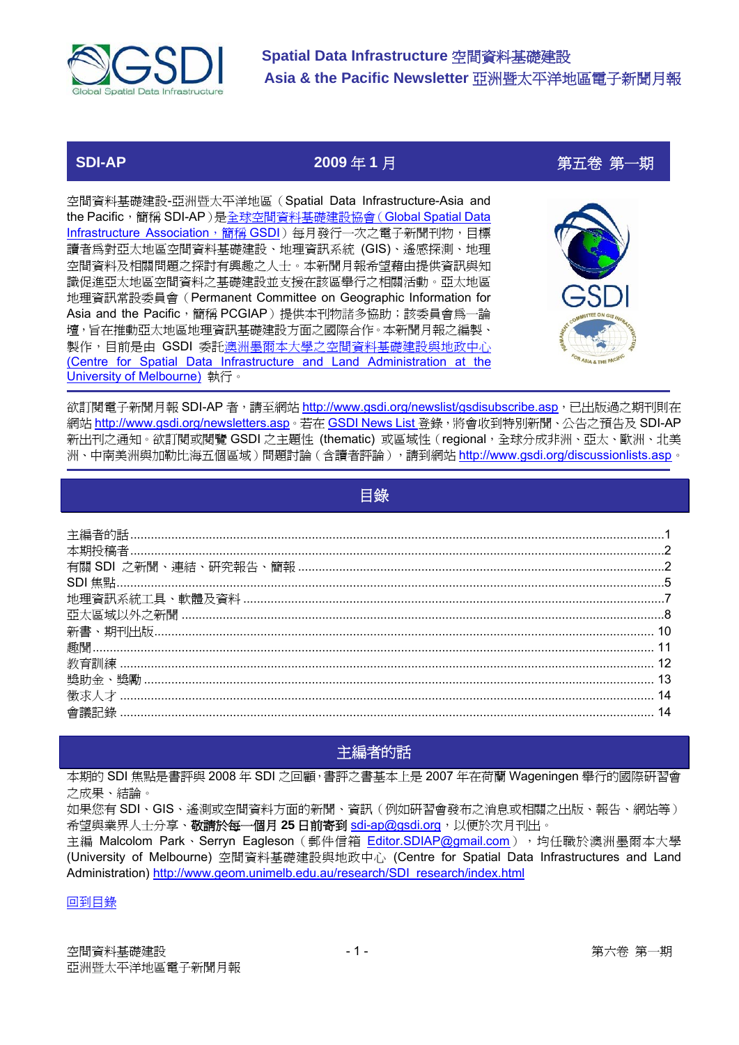

# **SDI-AP 2009** 年 **1** 月第五卷 第一期

空間資料基礎建設-亞洲暨太平洋地區(Spatial Data Infrastructure-Asia and the Pacific,簡稱 SDI-AP)是全球空間資料基礎建設協會(Global Spatial Data Infrastructure Association,簡稱 GSDI)每月發行一次之電子新聞刊物,目標 讀者為對亞太地區空間資料基礎建設、地理資訊系統 (GIS)、遙感探測、地理 空間資料及相關問題之探討有興趣之人士。本新聞月報希望藉由提供資訊與知 識促進亞太地區空間資料之基礎建設並支援在該區舉行之相關活動。亞太地區 地理資訊常設委員會(Permanent Committee on Geographic Information for Asia and the Pacific,簡稱 PCGIAP)提供本刊物諸多協助;該委員會為一論 壇,旨在推動亞太地區地理資訊基礎建設方面之國際合作。本新聞月報之編製、 製作,目前是由 GSDI 委託澳洲墨爾本大學之空間資料基礎建設與地政中心 (Centre for Spatial Data Infrastructure and Land Administration at the University of Melbourne) 執行。



欲訂閱電子新聞月報 SDI-AP 者,請至網站 http://www.gsdi.org/newslist/gsdisubscribe.asp,已出版過之期刊則在 網站 http://www.gsdi.org/newsletters.asp。若在 GSDI News List 登錄,將會收到特別新聞、公告之預告及 SDI-AP 新出刊之通知。欲訂閱或閱覽 GSDI 之主題性 (thematic) 或區域性 (regional, 全球分成非洲、亞太、歐洲、北美 洲、中南美洲與加勒比海五個區域)問題討論(含讀者評論),請到網站 http://www.gsdi.org/discussionlists.asp。

# 主編者的話

本期的 SDI 焦點是書評與 2008 年 SDI 之回顧,書評之書基本上是 2007 年在荷蘭 Wageningen 舉行的國際研習會 之成果、結論。

如果您有 SDI、GIS、遙測或空間資料方面的新聞、資訊(例如研習會發布之消息或相關之出版、報告、網站等) 希望與業界人士分享、敬請於每一個月 **25** 日前寄到 sdi-ap@gsdi.org,以便於次月刊出。

主編 Malcolom Park、Serryn Eagleson (郵件信箱 Editor.SDIAP@gmail.com), 均任職於澳洲墨爾本大學 (University of Melbourne) 空間資料基礎建設與地政中心 (Centre for Spatial Data Infrastructures and Land Administration) http://www.geom.unimelb.edu.au/research/SDI\_research/index.html

# 回到目錄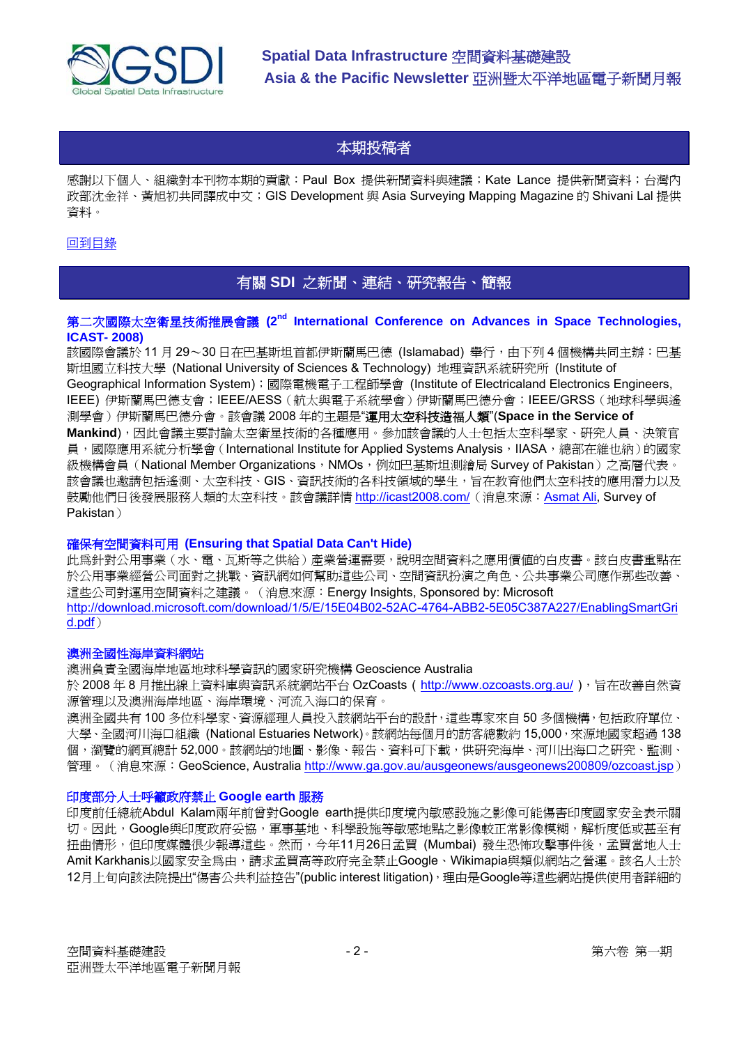

# 本期投稿者

感謝以下個人、組織對本刊物本期的貢獻:Paul Box 提供新聞資料與建議;Kate Lance 提供新聞資料;台灣內 政部沈金祥、黃旭初共同譯成中文;GIS Development 與 Asia Surveying Mapping Magazine 的 Shivani Lal 提供 資料。

# 回到目錄

# 有關 **SDI** 之新聞、連結、研究報告、簡報

# 第二次國際太空衛星技術推展會議 **(2nd International Conference on Advances in Space Technologies, ICAST- 2008)**

該國際會議於 11 月 29~30 日在巴基斯坦首都伊斯蘭馬巴德 (Islamabad) 舉行,由下列 4 個機構共同主辦:巴基 斯坦國立科技大學 (National University of Sciences & Technology) 地理資訊系統研究所 (Institute of Geographical Information System);國際電機電子工程師學會 (Institute of Electricaland Electronics Engineers, IEEE) 伊斯蘭馬巴德支會;IEEE/AESS(航太與電子系統學會)伊斯蘭馬巴德分會;IEEE/GRSS(地球科學與遙 測學會)伊斯蘭馬巴德分會。該會議 2008 年的主題是"運用太空科技造福人類"(**Space in the Service of Mankind**),因此會議主要討論太空衛星技術的各種應用。參加該會議的人士包括太空科學家、研究人員、決策官 員,國際應用系統分析學會(International Institute for Applied Systems Analysis, IIASA, 總部在維也納)的國家 級機構會員 (National Member Organizations, NMOs, 例如巴基斯坦測繪局 Survey of Pakistan)之高層代表。 該會議也邀請包括遙測、太空科技、GIS、資訊技術的各科技領域的學生,旨在教育他們太空科技的應用潛力以及 鼓勵他們日後發展服務人類的太空科技。該會議詳情 http://icast2008.com/(消息來源:Asmat Ali, Survey of Pakistan)

# 確保有空間資料可用 **(Ensuring that Spatial Data Can't Hide)**

此為針對公用事業(水、電、瓦斯等之供給)產業營運需要,說明空間資料之應用價值的白皮書。該白皮書重點在 於公用事業經營公司面對之挑戰、資訊網如何幫助這些公司、空間資訊扮演之角色、公共事業公司應作那些改善、 這些公司對運用空間資料之建議。(消息來源:Energy Insights, Sponsored by: Microsoft http://download.microsoft.com/download/1/5/E/15E04B02-52AC-4764-ABB2-5E05C387A227/EnablingSmartGri d.pdf)

# 澳洲全國性海岸資料網站

澳洲負責全國海岸地區地球科學資訊的國家研究機構 Geoscience Australia

於 2008年8月推出線上資料庫與資訊系統網站平台 OzCoasts ( http://www.ozcoasts.org.au/ ), 旨在改善自然資 源管理以及澳洲海岸地區、海岸環境、河流入海口的保育。

澳洲全國共有 100 多位科學家、資源經理人員投入該網站平台的設計,這些專家來自 50 多個機構,包括政府單位、 大學、全國河川海口組織 (National Estuaries Network)。該網站每個月的訪客總數約 15,000, 來源地國家超過 138 個,瀏覽的網頁總計 52,000。該網站的地圖、影像、報告、資料可下載,供研究海岸、河川出海口之研究、監測、 管理。(消息來源: GeoScience, Australia http://www.ga.gov.au/ausgeonews/ausgeonews200809/ozcoast.jsp)

# 印度部分人士呼籲政府禁止 **Google earth** 服務

印度前任總統Abdul Kalam兩年前曾對Google earth提供印度境內敏感設施之影像可能傷害印度國家安全表示關 切。因此,Google與印度政府妥協,軍事基地、科學設施等敏感地點之影像較正常影像模糊,解析度低或甚至有 扭曲情形,但印度媒體很少報導這些。然而,今年11月26日孟買 (Mumbai) 發生恐怖攻擊事件後,孟買當地人士 Amit Karkhanis以國家安全爲由,請求孟買高等政府完全禁止Google、Wikimapia與類似網站之營運。該名人士於 12月上旬向該法院提出"傷害公共利益控告"(public interest litigation),理由是Google等這些網站提供使用者詳細的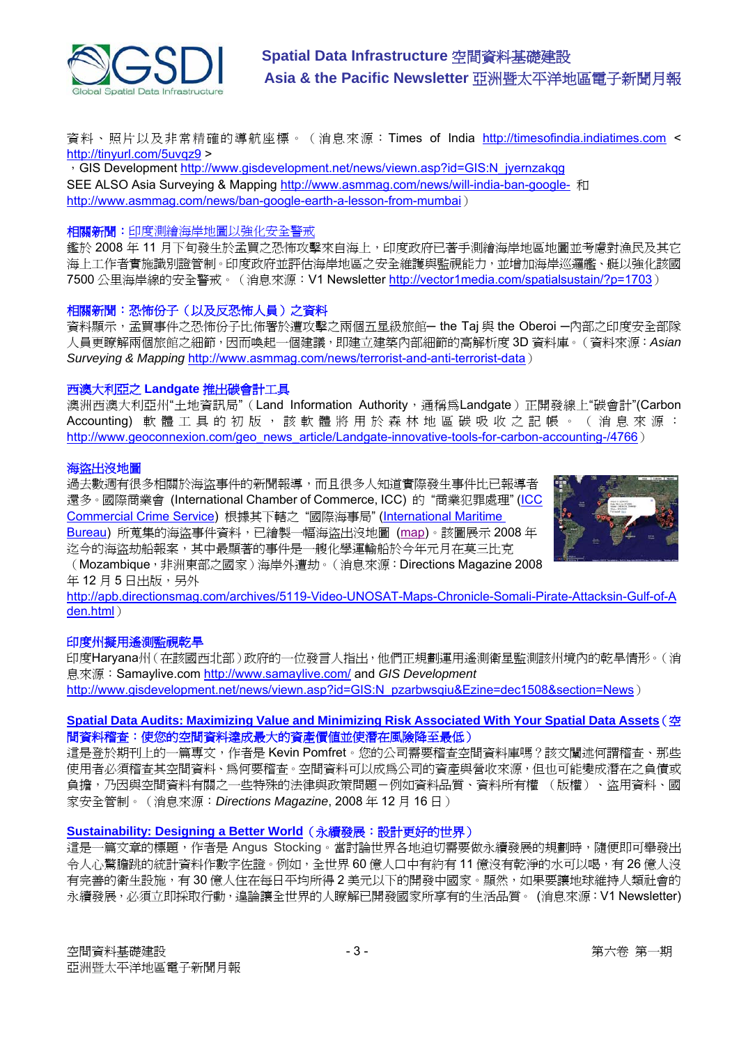

資料、照片以及非常精確的導航座標。(消息來源: Times of India http://timesofindia.indiatimes.com < http://tinyurl.com/5uvqz9 >

, GIS Development http://www.gisdevelopment.net/news/viewn.asp?id=GIS:N\_jyernzakqg SEE ALSO Asia Surveying & Mapping http://www.asmmag.com/news/will-india-ban-google- 和 http://www.asmmag.com/news/ban-google-earth-a-lesson-from-mumbai)

#### 相關新聞:印度測繪海岸地圖以強化安全警戒

鑑於 2008 年 11 月下旬發生於孟買之恐怖攻擊來自海上,印度政府已著手測繪海岸地區地圖並考慮對漁民及其它 海上工作者實施識別證管制。印度政府並評估海岸地區之安全維護與監視能力,並增加海岸巡邏艦、艇以強化該國 7500 公里海岸線的安全警戒。(消息來源:V1 Newsletter http://vector1media.com/spatialsustain/?p=1703)

# 相關新聞:恐怖份子(以及反恐怖人員)之資料

資料顯示,孟買事件之恐怖份子比佈署於遭攻擊之兩個五星級旅館─ the Taj 與 the Oberoi ─內部之印度安全部隊 人員更瞭解兩個旅館之細節,因而喚起一個建議,即建立建築內部細節的高解析度 3D 資料庫。(資料來源:*Asian Surveying & Mapping* http://www.asmmag.com/news/terrorist-and-anti-terrorist-data)

# 西澳大利亞之 **Landgate** 推出碳會計工具

澳洲西澳大利亞州"土地資訊局" (Land Information Authority, 通稱為Landgate) 正開發線上"碳會計"(Carbon Accounting) 軟體工具的初版,該軟體將用於森林地區碳吸收之記帳。(消息來源: http://www.geoconnexion.com/geo\_news\_article/Landgate-innovative-tools-for-carbon-accounting-/4766)

#### 海盜出沒地圖

過去數週有很多相關於海盜事件的新聞報導,而且很多人知道實際發生事件比已報導者 還多。國際商業會 (International Chamber of Commerce, ICC) 的 "商業犯罪處理" (ICC Commercial Crime Service) 根據其下轄之 "國際海事局" (International Maritime Bureau) 所蒐集的海盜事件資料,已繪製一幅海盜出沒地圖 (map)。該圖展示 2008 年 迄今的海盜劫船報案,其中最顯著的事件是一艘化學運輸船於今年元月在莫三比克



(Mozambique,非洲東部之國家)海岸外遭劫。(消息來源:Directions Magazine 2008 年12月5日出版,另外

http://apb.directionsmag.com/archives/5119-Video-UNOSAT-Maps-Chronicle-Somali-Pirate-Attacksin-Gulf-of-A den.html)

# 印度州擬用遙測監視乾旱

印度Haryana州(在該國西北部)政府的一位發言人指出,他們正規劃運用遙測衛星監測該州境內的乾旱情形。(消 息來源:Samaylive.com http://www.samaylive.com/ and *GIS Development*  http://www.gisdevelopment.net/news/viewn.asp?id=GIS:N\_pzarbwsqiu&Ezine=dec1508&section=News)

# **Spatial Data Audits: Maximizing Value and Minimizing Risk Associated With Your Spatial Data Assets**(空 間資料稽查:使您的空間資料達成最大的資產價值並使潛在風險降至最低)

這是登於期刊上的一篇專文,作者是 Kevin Pomfret。您的公司需要稽查空間資料庫嗎?該文闡述何謂稽查、那些 使用者必須稽查其空間資料、為何要稽查。空間資料可以成為公司的資產與營收來源,但也可能變成潛在之負債或 負擔,乃因與空間資料有關之一些特殊的法律與政策問題-例如資料品質、資料所有權 (版權)、盜用資料、國 家安全管制。(消息來源:*Directions Magazine*, 2008 年 12 月 16 日)

# **Sustainability: Designing a Better World**(永續發展:設計更好的世界)

這是一篇文章的標題,作者是 Angus Stocking。當討論世界各地迫切需要做永續發展的規劃時,隨便即可舉發出 令人心驚膽跳的統計資料作數字佐證。例如,全世界 60 億人口中有約有 11 億沒有乾淨的水可以喝,有 26 億人沒 有完善的衛生設施,有 30 億人住在每日平均所得 2 美元以下的開發中國家。顯然,如果要讓地球維持人類社會的 永續發展,必須立即採取行動,遑論讓全世界的人瞭解已開發國家所享有的生活品質。 (消息來源:V1 Newsletter)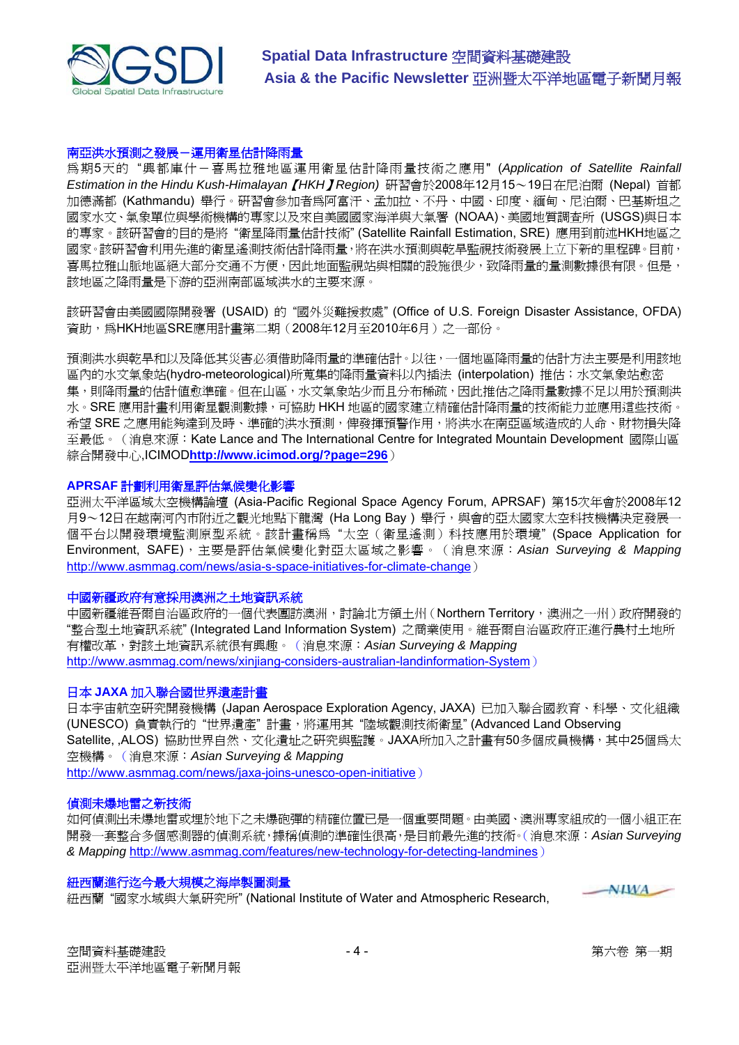

# 南亞洪水預測之發展-運用衛星估計降雨量

為期5天的 "興都庫什-喜馬拉雅地區運用衛星估計降雨量技術之應用" (*Application of Satellite Rainfall Estimation in the Hindu Kush-Himalayan*【*HKH*】*Region)* 研習會於2008年12月15~19日在尼泊爾 (Nepal) 首都 加德滿都 (Kathmandu) 舉行。研習會參加者為阿富汗、孟加拉、不丹、中國、印度、緬甸、尼泊爾、巴基斯坦之 國家水文、氣象單位與學術機構的專家以及來自美國國家海洋與大氣署 (NOAA)、美國地質調查所 (USGS)與日本 的專家。該研習會的目的是將 "衛星降雨量估計技術" (Satellite Rainfall Estimation, SRE) 應用到前述HKH地區之 國家。該研習會利用先進的衛星遙測技術估計降雨量,將在洪水預測與乾旱監視技術發展上立下新的里程碑。目前, 喜馬拉雅山脈地區絕大部分交通不方便,因此地面監視站與相關的設施很少,致降雨量的量測數據很有限。但是, 該地區之降雨量是下游的亞洲南部區域洪水的主要來源。

該研習會由美國國際開發署 (USAID) 的 "國外災難援救處" (Office of U.S. Foreign Disaster Assistance, OFDA) 資助,為HKH地區SRE應用計畫第二期(2008年12月至2010年6月)之一部份。

預測洪水與乾旱和以及降低其災害必須借助降雨量的準確估計。以往,一個地區降雨量的估計方法主要是利用該地 區內的水文氣象站(hydro-meteorological)所蒐集的降雨量資料以內插法 (interpolation) 推估;水文氣象站愈密 集,則降雨量的估計值愈準確。但在山區,水文氣象站少而且分布稀疏,因此推估之降雨量數據不足以用於預測洪 水。SRE 應用計畫利用衛星觀測數據,可協助 HKH 地區的國家建立精確估計降雨量的技術能力並應用這些技術。 希望 SRE 之應用能夠達到及時、準確的洪水預測,俾發揮預警作用,將洪水在南亞區域造成的人命、財物損失降 至最低。(消息來源:Kate Lance and The International Centre for Integrated Mountain Development 國際山區 綜合開發中心,ICIMOD**http://www.icimod.org/?page=296**)

#### **APRSAF** 計劃利用衛星評估氣候變化影響

亞洲太平洋區域太空機構論壇 (Asia-Pacific Regional Space Agency Forum, APRSAF) 第15次年會於2008年12 月9~12日在越南河內市附近之觀光地點下龍灣 (Ha Long Bay) 舉行,與會的亞太國家太空科技機構決定發展一 個平台以開發環境監測原型系統。該計畫稱為 "太空(衛星遙測)科技應用於環境" (Space Application for Environment, SAFE),主要是評估氣候變化對亞太區域之影響。(消息來源:*Asian Surveying & Mapping*  http://www.asmmag.com/news/asia-s-space-initiatives-for-climate-change)

#### 中國新疆政府有意採用澳洲之土地資訊系統

中國新疆維吾爾自治區政府的一個代表團訪澳洲,討論北方領土州(Northern Territory,澳洲之一州)政府開發的 "整合型土地資訊系統" (Integrated Land Information System) 之商業使用。維吾爾自治區政府正進行農村土地所 有權改革,對該土地資訊系統很有興趣。(消息來源:*Asian Surveying & Mapping*  http://www.asmmag.com/news/xinjiang-considers-australian-landinformation-System)

#### 日本 **JAXA** 加入聯合國世界遺產計畫

日本宇宙航空研究開發機構 (Japan Aerospace Exploration Agency, JAXA) 已加入聯合國教育、科學、文化組織 (UNESCO) 負責執行的"世界遺產"計畫,將運用其"陸域觀測技術衛星" (Advanced Land Observing Satellite, ,ALOS) 協助世界自然、文化遺址之研究與監護。JAXA所加入之計畫有50多個成員機構,其中25個為太 空機構。(消息來源:*Asian Surveying & Mapping*  http://www.asmmag.com/news/jaxa-joins-unesco-open-initiative)

#### 偵測未爆地雷之新技術

如何偵測出未爆地雷或埋於地下之未爆砲彈的精確位置已是一個重要問題。由美國、澳洲專家組成的一個小組正在 開發一套整合多個感測器的偵測系統,據稱偵測的準確性很高,是目前最先進的技術。(消息來源:*Asian Surveying & Mapping* http://www.asmmag.com/features/new-technology-for-detecting-landmines)

#### 紐西蘭進行迄今最大規模之海岸製圖測量

紐西蘭 "國家水域與大氣研究所" (National Institute of Water and Atmospheric Research,

 $-NIMA$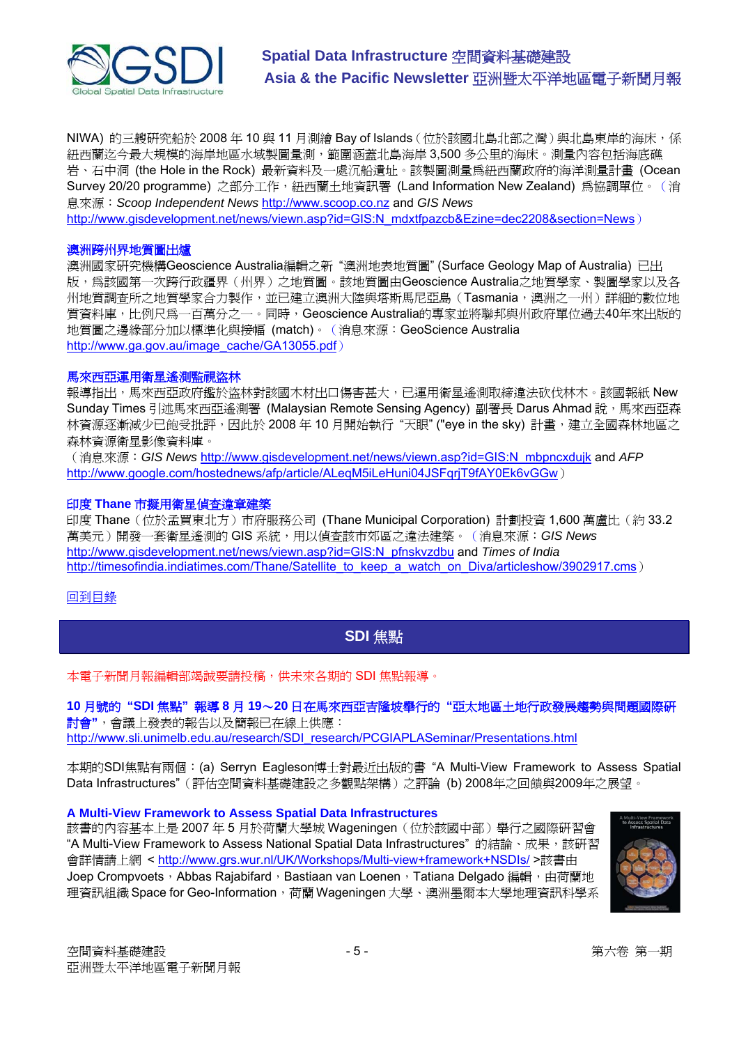

NIWA) 的三艘研究船於 2008 年 10 與 11 月測繪 Bay of Islands (位於該國北島北部之灣)與北島東岸的海床,係 紐西蘭迄今最大規模的海岸地區水域製圖量測,範圍涵蓋北島海岸 3,500 多公里的海床。測量內容包括海底礁 岩、石中洞 (the Hole in the Rock) 最新資料及一處沉船遺址。該製圖測量為紐西蘭政府的海洋測量計畫 (Ocean Survey 20/20 programme) 之部分工作,紐西蘭土地資訊署 (Land Information New Zealand) 為協調單位。(消 息來源:*Scoop Independent News* http://www.scoop.co.nz and *GIS News* 

http://www.gisdevelopment.net/news/viewn.asp?id=GIS:N\_mdxtfpazcb&Ezine=dec2208&section=News)

#### 澳洲跨州界地質圖出爐

澳洲國家研究機構Geoscience Australia編輯之新 "澳洲地表地質圖" (Surface Geology Map of Australia) 已出 版,為該國第一次跨行政疆界(州界)之地質圖。該地質圖由Geoscience Australia之地質學家、製圖學家以及各 州地質調査所之地質學家合力製作,並已建立澳洲大陸與塔斯馬尼亞島(Tasmania,澳洲之一州)詳細的數位地 質資料庫,比例尺為一百萬分之一。同時,Geoscience Australia的專家並將聯邦與州政府單位過去40年來出版的 地質圖之邊緣部分加以標準化與接幅 (match)。(消息來源:GeoScience Australia http://www.ga.gov.au/image\_cache/GA13055.pdf)

#### 馬來西亞運用衛星遙測監視盜林

報導指出,馬來西亞政府鑑於盜林對該國木材出口傷害甚大,已運用衛星遙測取締違法砍伐林木。該國報紙 New Sunday Times 引述馬來西亞遙測署 (Malaysian Remote Sensing Agency) 副署長 Darus Ahmad 說,馬來西亞森 林資源逐漸減少已飽受批評,因此於 2008 年 10 月開始執行"天眼" ("eye in the sky) 計畫,建立全國森林地區之 森林資源衛星影像資料庫。

(消息來源:*GIS News* http://www.gisdevelopment.net/news/viewn.asp?id=GIS:N\_mbpncxdujk and *AFP*  http://www.google.com/hostednews/afp/article/ALeqM5iLeHuni04JSFqrjT9fAY0Ek6vGGw)

#### 印度 **Thane** 市擬用衛星偵查違章建築

印度 Thane(位於孟買東北方)市府服務公司 (Thane Municipal Corporation) 計劃投資 1,600 萬盧比(約 33.2 萬美元)開發一套衛星遙測的 GIS 系統,用以偵查該市郊區之違法建築。(消息來源:*GIS News*  http://www.gisdevelopment.net/news/viewn.asp?id=GIS:N\_pfnskvzdbu and *Times of India* http://timesofindia.indiatimes.com/Thane/Satellite\_to\_keep\_a\_watch\_on\_Diva/articleshow/3902917.cms)

#### 回到目錄

# **SDI** 焦點

本電子新聞月報編輯部竭誠要請投稿,供未來各期的 SDI 焦點報導。

**10** 月號的 **"SDI** 焦點**"** 報導 **8** 月 **19**~**20** 日在馬來西亞吉隆坡舉行的 **"**亞太地區土地行政發展趨勢與問題國際研 討會**"**,會議上發表的報告以及簡報已在線上供應: http://www.sli.unimelb.edu.au/research/SDI\_research/PCGIAPLASeminar/Presentations.html

本期的SDI焦點有兩個:(a) Serryn Eagleson博士對最近出版的書 "A Multi-View Framework to Assess Spatial Data Infrastructures"(評估空間資料基礎建設之多觀點架構)之評論 (b) 2008年之回饋與2009年之展望。

# **A Multi-View Framework to Assess Spatial Data Infrastructures**

該書的內容基本上是 2007 年5月於荷蘭大學城 Wageningen (位於該國中部) 舉行之國際研習會 "A Multi-View Framework to Assess National Spatial Data Infrastructures" 的結論、成果,該研習 會詳情請上網 < http://www.grs.wur.nl/UK/Workshops/Multi-view+framework+NSDIs/ >該書由 Joep Crompvoets, Abbas Rajabifard, Bastiaan van Loenen, Tatiana Delgado 編輯,由荷蘭地 理資訊組織 Space for Geo-Information, 荷蘭 Wageningen 大學、澳洲墨爾本大學地理資訊科學系

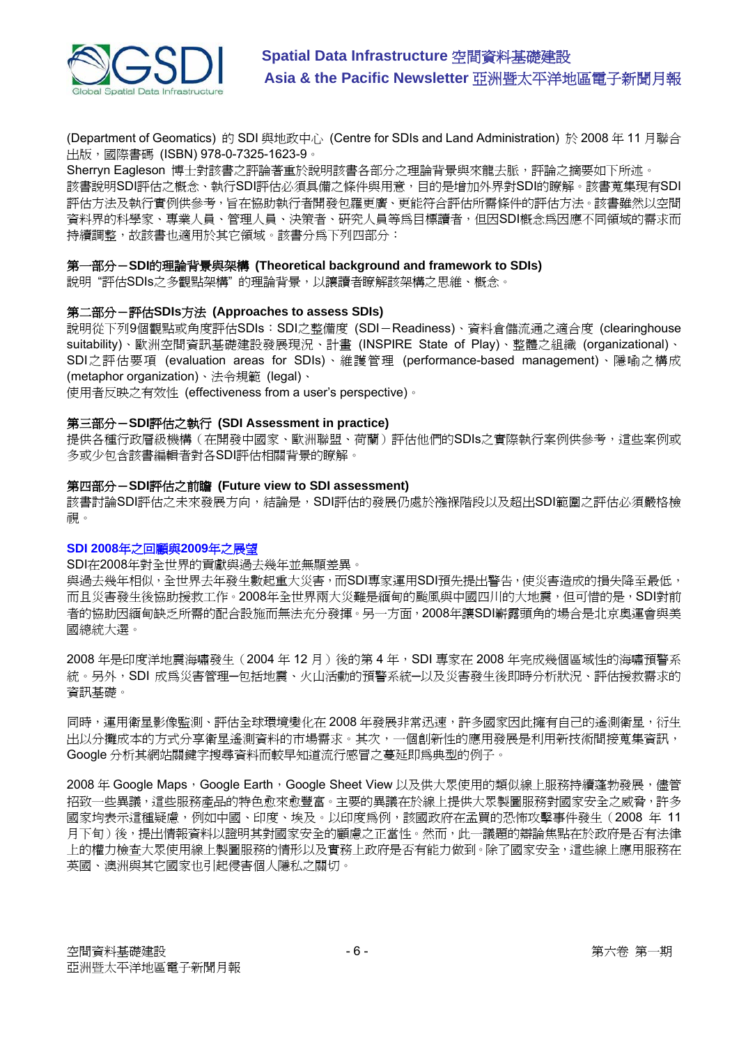

(Department of Geomatics) 的 SDI 與地政中心 (Centre for SDIs and Land Administration) 於 2008 年 11 月聯合 出版, 國際書碼 (ISBN) 978-0-7325-1623-9。

Sherryn Eagleson 博士對該書之評論著重於說明該書各部分之理論背景與來龍去脈,評論之摘要如下所述。 該書說明SDI評估之概念、執行SDI評估必須具備之條件與用意,目的是增加外界對SDI的瞭解。該書蒐集現有SDI 評估方法及執行實例供參考,旨在協助執行者開發包羅更廣、更能符合評估所需條件的評估方法。該書雖然以空間 資料界的科學家、專業人員、管理人員、決策者、研究人員等為目標讀者,但因SDI概念為因應不同領域的需求而 持續調整,故該書也適用於其它領域。該書分為下列四部分:

#### 第一部分-**SDI**的理論背景與架構 **(Theoretical background and framework to SDIs)**

說明 "評估SDIs之多觀點架構" 的理論背景,以讓讀者瞭解該架構之思維、概念。

#### 第二部分-評估**SDIs**方法 **(Approaches to assess SDIs)**

說明從下列9個觀點或角度評估SDIs:SDI之整備度 (SDI-Readiness)、資料倉儲流通之適合度 (clearinghouse suitability)、歐洲空間資訊基礎建設發展現況、計畫 (INSPIRE State of Play)、整體之組織 (organizational)、 SDI之評估要項 (evaluation areas for SDIs)、維護管理 (performance-based management)、隱喻之構成 (metaphor organization)、法令規範 (legal)、

使用者反映之有效性 (effectiveness from a user's perspective)。

#### 第三部分-**SDI**評估之執行 **(SDI Assessment in practice)**

提供各種行政層級機構(在開發中國家、歐洲聯盟、荷蘭)評估他們的SDIs之實際執行案例供參考,這些案例或 多或少包含該書編輯者對各SDI評估相關背景的瞭解。

#### 第四部分-**SDI**評估之前瞻 **(Future view to SDI assessment)**

該書討論SDI評估之未來發展方向,結論是,SDI評估的發展仍處於襁褓階段以及超出SDI範圍之評估必須嚴格檢 視。

#### **SDI 2008**年之回顧與**2009**年之展望

SDI在2008年對全世界的貢獻與過去幾年並無顯差異。

與過去幾年相似,全世界去年發生數起重大災害,而SDI專家運用SDI預先提出警告,使災害造成的損失降至最低, 而且災害發生後協助援救工作。2008年全世界兩大災難是緬甸的颱風與中國四川的大地震,但可惜的是, SDI對前 者的協助因緬甸缺乏所需的配合設施而無法充分發揮。另一方面,2008年讓SDI嶄露頭角的場合是北京奧運會與美 國總統大選。

2008 年是印度洋地震海嘯發生 (2004 年 12 月) 後的第 4 年, SDI 專家在 2008 年完成幾個區域性的海嘯預警系 統。另外,SDI 成為災害管理一包括地震、火山活動的預警系統一以及災害發生後即時分析狀況、評估援救需求的 資訊基礎。

同時,運用衛星影像監測、評估全球環境變化在 2008 年發展非常迅速,許多國家因此擁有自己的遙測衛星,衍生 出以分攤成本的方式分享衛星遙測資料的市場需求。其次,一個創新性的應用發展是利用新技術間接蒐集資訊, Google 分析其網站關鍵字搜尋資料而較早知道流行感冒之蔓延即為典型的例子。

2008 年 Google Maps, Google Earth, Google Sheet View 以及供大眾使用的類似線上服務持續蓬勃發展,儘管 招致一些異議,這些服務產品的特色愈來愈豐富。主要的異議在於線上提供大眾製圖服務對國家安全之威脅,許多 國家均表示這種疑慮,例如中國、印度、埃及。以印度為例,該國政府在孟買的恐怖攻擊事件發生(2008 年 11 月下旬)後,提出情報資料以證明其對國家安全的顧慮之正當性。然而,此一議題的辯論焦點在於政府是否有法律 上的權力檢查大眾使用線上製圖服務的情形以及實務上政府是否有能力做到。除了國家安全,這些線上應用服務在 英國、澳洲與其它國家也引起侵害個人隱私之關切。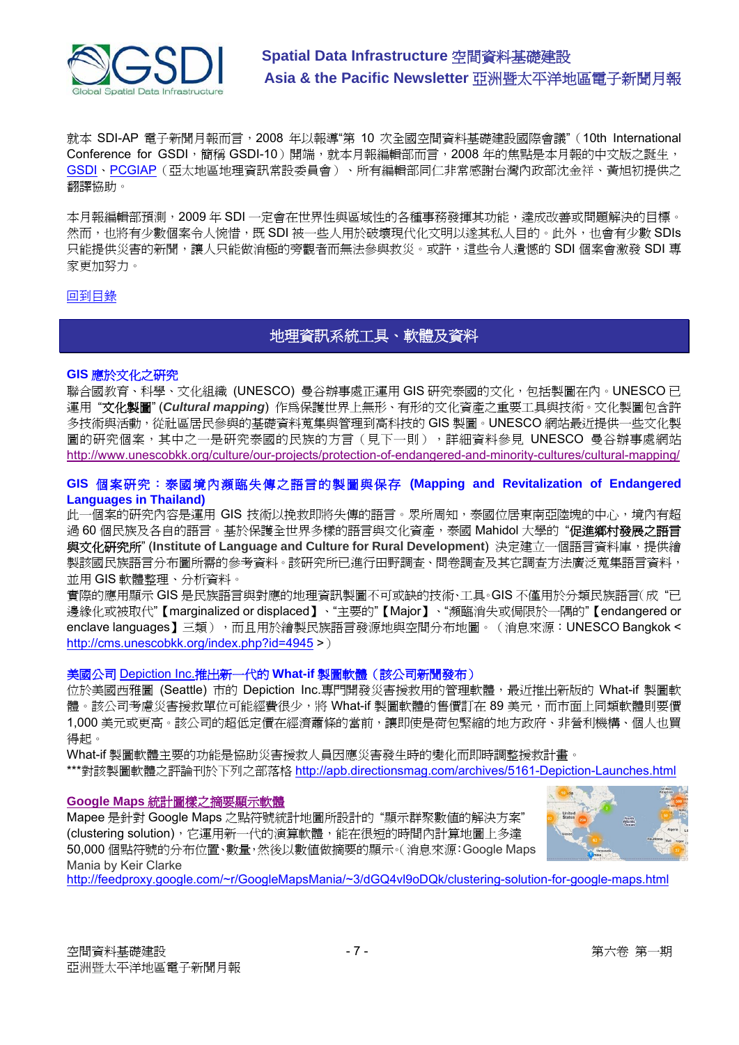

就本 SDI-AP 電子新聞月報而言,2008 年以報導"第 10 次全國空間資料基礎建設國際會議"(10th International Conference for GSDI,簡稱 GSDI-10)開端,就本月報編輯部而言, 2008年的焦點是本月報的中文版之誕生, GSDI、PCGIAP(亞太地區地理資訊常設委員會)、所有編輯部同仁非常感謝台灣內政部沈金祥、黃旭初提供之 翻譯協助。

本月報編輯部預測,2009 年 SDI 一定會在世界性與區域性的各種事務發揮其功能,達成改善或問題解決的目標。 然而,也將有少數個案令人惋惜,既 SDI 被一些人用於破壞現代化文明以遂其私人目的。此外,也會有少數 SDIs 只能提供災害的新聞,讓人只能做消極的旁觀者而無法參與救災。或許,這些令人潰憾的 SDI 個案會激發 SDI 專 家更加努力。

# 回到目錄

# 地理資訊系統工具、軟體及資料

# **GIS** 應於文化之研究

聯合國教育、科學、文化組織 (UNESCO) 曼谷辦事處正運用 GIS 研究泰國的文化,包括製圖在內。UNESCO 已 運用 "文化製圖" (*Cultural mapping*) 作為保護世界上無形、有形的文化資產之重要工具與技術。文化製圖包含許 多技術與活動,從社區居民參與的基礎資料蒐集與管理到高科技的 GIS 製圖。UNESCO 網站最近提供一些文化製 圖的研究個案,其中之一是研究泰國的民族的方言(見下一則),詳細資料參見 UNESCO 曼谷辦事處網站 http://www.unescobkk.org/culture/our-projects/protection-of-endangered-and-minority-cultures/cultural-mapping/

# **GIS** 個案研究:泰國境內瀕臨失傳之語言的製圖與保存 **(Mapping and Revitalization of Endangered Languages in Thailand)**

此一個案的研究內容是運用 GIS 技術以挽救即將失傳的語言。眾所周知,泰國位居東南亞陸塊的中心,境內有超 過 60 個民族及各自的語言。基於保護全世界多樣的語言與文化資產,泰國 Mahidol 大學的"**促進鄉村發展之語言 與文化研究所" (Institute of Language and Culture for Rural Development)** 決定建立一個語言資料庫,提供繪 製該國民族語言分布圖所需的參考資料。該研究所已進行田野調查、問卷調查及其它調查方法廣泛蒐集語言資料, 並用 GIS 軟體整理、分析資料。

實際的應用顯示 GIS 是民族語言與對應的地理資訊製圖不可或缺的技術、工具。GIS 不僅用於分類民族語言(成 "已 邊緣化或被取代"【marginalized or displaced】、"主要的"【Major】、"瀕臨消失或侷限於一隅的"【endangered or enclave languages】三類),而且用於繪製民族語言發源地與空間分布地圖。(消息來源: UNESCO Bangkok < http://cms.unescobkk.org/index.php?id=4945 >)

# 美國公司 Depiction Inc.推出新一代的 **What-if** 製圖軟體(該公司新聞發布)

位於美國西雅圖 (Seattle) 市的 Depiction Inc.專門開發災害援救用的管理軟體,最近推出新版的 What-if 製圖軟 體。該公司考慮災害援救單位可能經費很少,將 What-if 製圖軟體的售價訂在 89 美元,而市面上同類軟體則要價 1,000 美元或更高。該公司的超低定價在經濟蕭條的當前,讓即使是荷包緊縮的地方政府、非營利機構、個人也買 得起。

What-if 製圖軟體主要的功能是協助災害援救人員因應災害發生時的變化而即時調整援救計畫。

\*\*\*對該製圖軟體之評論刊於下列之部落格 http://apb.directionsmag.com/archives/5161-Depiction-Launches.html

#### **Google Maps** 統計圖樣之摘要顯示軟體

Mapee 是針對 Google Maps 之點符號統計地圖所設計的 "顯示群聚數值的解決方案" (clustering solution),它運用新一代的演算軟體,能在很短的時間內計算地圖上多達 50,000 個點符號的分布位置、數量,然後以數值做摘要的顯示。(消息來源:Google Maps Mania by Keir Clarke



http://feedproxy.google.com/~r/GoogleMapsMania/~3/dGQ4vl9oDQk/clustering-solution-for-google-maps.html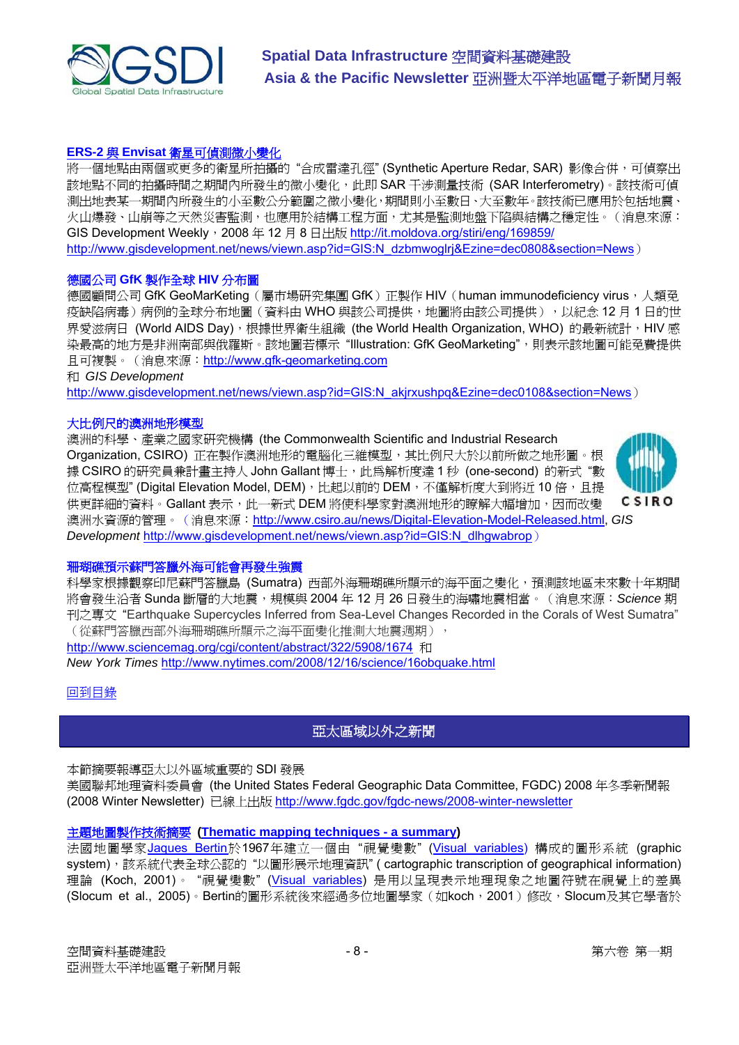

# **ERS-2** 與 **Envisat** 衛星可偵測微小變化

將一個地點由兩個或更多的衛星所拍攝的"合成雷達孔徑" (Synthetic Aperture Redar, SAR) 影像合併,可偵察出 該地點不同的拍攝時間之期間內所發生的微小變化,此即 SAR 干涉測量技術 (SAR Interferometry)。該技術可偵 測出地表某一期間內所發生的小至數公分範圍之微小變化,期間則小至數日、大至數年。該技術已應用於包括地震、 火山爆發、山崩等之天然災害監測,也應用於結構工程方面,尤其是監測地盤下陷與結構之穩定性。(消息來源: GIS Development Weekly, 2008年 12 月 8 日出版 http://it.moldova.org/stiri/eng/169859/ http://www.gisdevelopment.net/news/viewn.asp?id=GIS:N\_dzbmwoglrj&Ezine=dec0808&section=News)

#### 德國公司 **GfK** 製作全球 **HIV** 分布圖

德國顧問公司 GfK GeoMarKeting (屬市場研究集團 GfK)正製作 HIV (human immunodeficiency virus, 人類免 疫缺陷病毒)病例的全球分布地圖(資料由 WHO 與該公司提供,地圖將由該公司提供),以紀念 12 月 1 日的世 界愛滋病日 (World AIDS Day),根據世界衛生組織 (the World Health Organization, WHO) 的最新統計,HIV 感 染最高的地方是非洲南部與俄羅斯。該地圖若標示"Illustration: GfK GeoMarketing", 則表示該地圖可能免費提供 且可複製。(消息來源:http://www.gfk-geomarketing.com

#### 和 *GIS Development*

http://www.gisdevelopment.net/news/viewn.asp?id=GIS:N\_akjrxushpq&Ezine=dec0108&section=News)

# 大比例尺的澳洲地形模型

澳洲的科學、產業之國家研究機構 (the Commonwealth Scientific and Industrial Research Organization, CSIRO) 正在製作澳洲地形的電腦化三維模型,其比例尺大於以前所做之地形圖。根 據 CSIRO 的研究員兼計書主持人 John Gallant 博士, 此為解析度達 1 秒 (one-second) 的新式"數 位高程模型" (Digital Elevation Model, DEM), 比起以前的 DEM, 不僅解析度大到將近 10倍, 且提 供更詳細的資料。Gallant 表示,此一新式 DEM 將使科學家對澳洲地形的瞭解大幅增加,因而改變 澳洲水資源的管理。(消息來源:http://www.csiro.au/news/Digital-Elevation-Model-Released.html, *GIS Development* http://www.gisdevelopment.net/news/viewn.asp?id=GIS:N\_dlhgwabrop)



#### 珊瑚礁預示蘇門答臘外海可能會再發生強震

科學家根據觀察印尼蘇門答臘島 (Sumatra) 西部外海珊瑚礁所顯示的海平面之變化,預測該地區未來數十年期間 將會發生沿者 Sunda 斷層的大地震,規模與 2004 年 12 月 26 日發生的海嘯地震相當。(消息來源:*Science* 期 刊之專文 "Earthquake Supercycles Inferred from Sea-Level Changes Recorded in the Corals of West Sumatra" (從蘇門答臘西部外海珊瑚礁所顯示之海平面變化推測大地震週期),

http://www.sciencemag.org/cgi/content/abstract/322/5908/1674 和

*New York Times* http://www.nytimes.com/2008/12/16/science/16obquake.html

# 回到目錄

# 亞太區域以外之新聞

本節摘要報導亞太以外區域重要的 SDI 發展

美國聯邦地理資料委員會 (the United States Federal Geographic Data Committee, FGDC) 2008 年冬季新聞報 (2008 Winter Newsletter) 已線上出版 http://www.fgdc.gov/fgdc-news/2008-winter-newsletter

# 主題地圖製作技術摘要 **(Thematic mapping techniques - a summary)**

法國地圖學家Jaques Bertin於1967年建立一個由 "視覺變數" (Visual variables) 構成的圖形系統 (graphic system), 該系統代表全球公認的"以圖形展示地理資訊" ( cartographic transcription of geographical information) 理論 (Koch, 2001)。 "視覺變數" (Visual variables) 是用以呈現表示地理現象之地圖符號在視覺上的差異 (Slocum et al., 2005)。Bertin的圖形系統後來經過多位地圖學家(如koch, 2001)修改, Slocum及其它學者於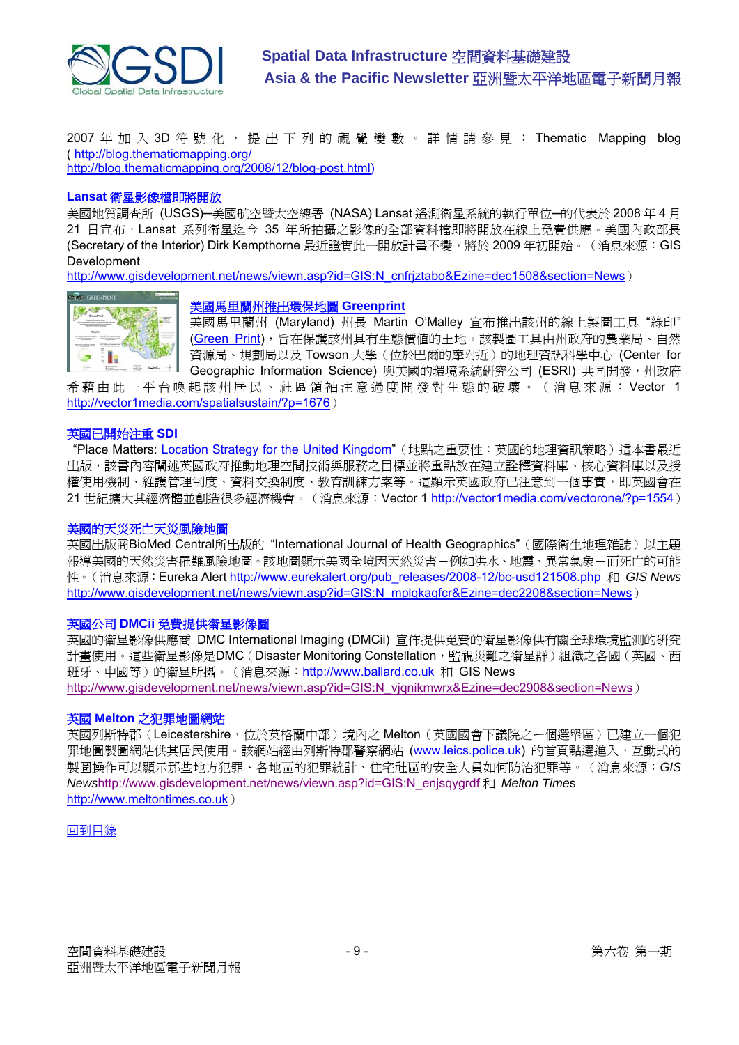

2007 年加入 3D 符號化,提出下列的視覺變數。詳情請參見: Thematic Mapping blog ( http://blog.thematicmapping.org/ http://blog.thematicmapping.org/2008/12/blog-post.html)

# **Lansat** 衛星影像檔即將開放

美國地質調查所 (USGS)─美國航空暨太空總署 (NASA) Lansat 遙測衛星系統的執行單位─的代表於 2008 年 4 月 21 日宣布, Lansat 系列衛星迄今 35 年所拍攝之影像的全部資料檔即將開放在線上免費供應。美國內政部長 (Secretary of the Interior) Dirk Kempthorne 最近證實此一開放計畫不變,將於 2009 年初開始。(消息來源:GIS Development

http://www.gisdevelopment.net/news/viewn.asp?id=GIS:N\_cnfrjztabo&Ezine=dec1508&section=News)



美國馬里蘭州推出環保地圖 **Greenprint**

美國馬里蘭州 (Maryland) 州長 Martin O'Malley 宣布推出該州的線上製圖工具 "綠印" (Green Print),旨在保護該州具有生態價值的土地。該製圖工具由州政府的農業局、自然 資源局、規劃局以及 Towson 大學(位於巴爾的摩附近)的地理資訊科學中心 (Center for Geographic Information Science) 與美國的環境系統研究公司 (ESRI) 共同開發,州政府

希藉由此一平台喚起該州居民、社區領袖注意過度開發對生態的破壞。(消息來源: Vector 1 http://vector1media.com/spatialsustain/?p=1676)

#### 英國已開始注重 **SDI**

"Place Matters: Location Strategy for the United Kingdom" (地點之重要性: 英國的地理資訊策略)這本書最近 出版,該書內容闡述英國政府推動地理空間技術與服務之目標並將重點放在建立詮釋資料庫、核心資料庫以及授 權使用機制、維護管理制度、資料交換制度、教育訓練方案等。這顯示英國政府已注意到一個事實,即英國會在 21 世紀擴大其經濟體並創造很多經濟機會。(消息來源:Vector 1 http://vector1media.com/vectorone/?p=1554)

# 美國的天災死亡天災風險地圖

英國出版商BioMed Central所出版的 "International Journal of Health Geographics"(國際衛生地理雜誌)以主題 報導美國的天然災害罹難風險地圖。該地圖顯示美國全境因天然災害-例如洪水、地震、異常氣象-而死亡的可能 性。(消息來源:Eureka Alert http://www.eurekalert.org/pub\_releases/2008-12/bc-usd121508.php 和 *GIS News*  http://www.gisdevelopment.net/news/viewn.asp?id=GIS:N\_mplgkagfcr&Ezine=dec2208&section=News)

# 英國公司 **DMCii** 免費提供衛星影像圖

英國的衛星影像供應商 DMC International Imaging (DMCii) 宣佈提供免費的衛星影像供有關全球環境監測的研究 計畫使用。這些衛星影像是DMC (Disaster Monitoring Constellation, 監視災難之衛星群) 組織之各國(英國、西 班牙、中國等)的衛星所攝。(消息來源: http://www.ballard.co.uk 和 GIS News http://www.gisdevelopment.net/news/viewn.asp?id=GIS:N\_vjqnikmwrx&Ezine=dec2908&section=News)

#### 英國 **Melton** 之犯罪地圖網站

英國列斯特郡(Leicestershire,位於英格蘭中部)境內之 Melton(英國國會下議院之一個選舉區)已建立一個犯 罪地圖製圖網站供其居民使用。該網站經由列斯特郡警察網站 (www.leics.police.uk) 的首頁點選進入,互動式的 製圖操作可以顯示那些地方犯罪、各地區的犯罪統計、住宅社區的安全人員如何防治犯罪等。(消息來源:*GIS News*http://www.gisdevelopment.net/news/viewn.asp?id=GIS:N\_enjsqygrdf 和 *Melton Time*s http://www.meltontimes.co.uk)

回到目錄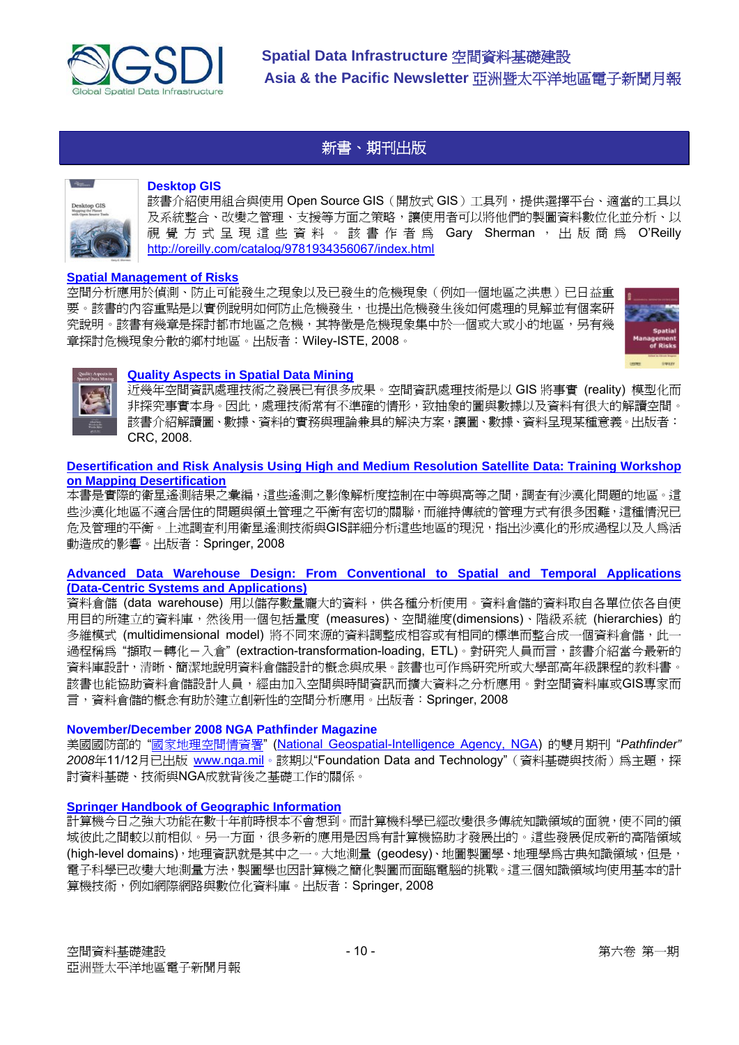

# 新書、期刊出版



#### **Desktop GIS**

該書介紹使用組合與使用 Open Source GIS (開放式 GIS)工具列,提供選擇平台、適當的工具以 及系統整合、改變之管理、支援等方面之策略,讓使用者可以將他們的製圖資料數位化並分析、以 視 覺 方 式 呈 現 這 些 資 料 。 該 書 作 者 爲 (Gary Sherman , 出 版 商 爲 (O'Reilly http://oreilly.com/catalog/9781934356067/index.html

#### **Spatial Management of Risks**

空間分析應用於偵測、防止可能發生之現象以及已發生的危機現象(例如一個地區之洪患)已日益重 要。該書的內容重點是以實例說明如何防止危機發生,也提出危機發生後如何處理的見解並有個案研 究說明。該書有幾章是探討都市地區之危機,其特徵是危機現象集中於一個或大或小的地區,另有幾 章探討危機現象分散的鄉村地區。出版者:Wiley-ISTE, 2008。



#### **Quality Aspects in Spatial Data Mining**

近幾年空間資訊處理技術之發展已有很多成果。空間資訊處理技術是以 GIS 將事實 (reality) 模型化而 非探究事實本身。因此,處理技術常有不準確的情形,致抽象的圖與數據以及資料有很大的解讀空間。 該書介紹解讀圖、數據、資料的實務與理論兼具的解決方案,讓圖、數據、資料呈現某種意義。出版者: CRC, 2008.

#### **Desertification and Risk Analysis Using High and Medium Resolution Satellite Data: Training Workshop on Mapping Desertification**

本書是實際的衛星遙測結果之彙編,這些遙測之影像解析度控制在中等與高等之間,調查有沙漠化問題的地區。這 些沙漠化地區不適合居住的問題與領土管理之平衡有密切的關聯,而維持傳統的管理方式有很多困難,這種情況已 危及管理的平衡。上述調查利用衛星遙測技術與GIS詳細分析這些地區的現況, 指出沙漠化的形成過程以及人為活 動造成的影響。出版者:Springer, 2008

#### **Advanced Data Warehouse Design: From Conventional to Spatial and Temporal Applications (Data-Centric Systems and Applications)**

資料倉儲 (data warehouse) 用以儲存數量龐大的資料, 供各種分析使用。資料倉儲的資料取自各單位依各自使 用目的所建立的資料庫,然後用一個包括量度 (measures)、空間維度(dimensions)、階級系統 (hierarchies) 的 多維模式 (multidimensional model) 將不同來源的資料調整成相容或有相同的標準而整合成一個資料倉儲,此一 過程稱為"擷取-轉化-入倉" (extraction-transformation-loading, ETL)。對研究人員而言,該書介紹當今最新的 資料庫設計,清晰、簡潔地說明資料倉儲設計的概念與成果。該書也可作為研究所或大學部高年級課程的教科書。 該書也能協助資料倉儲設計人員,經由加入空間與時間資訊而擴大資料之分析應用。對空間資料庫或GIS專家而 言,資料倉儲的概念有助於建立創新性的空間分析應用。出版者:Springer, 2008

#### **November/December 2008 NGA Pathfinder Magazine**

美國國防部的 "國家地理空間情資署" (National Geospatial-Intelligence Agency, NGA) 的雙月期刊 "*Pathfinder"*  2008年11/12月已出版 www.nga.mil。該期以"Foundation Data and Technology"(資料基礎與技術)為主題,探 討資料基礎、技術與NGA成就背後之基礎工作的關係。

# **Springer Handbook of Geographic Information**

計算機今日之強大功能在數十年前時根本不會想到。而計算機科學已經改變很多傳統知識領域的面貌,使不同的領 域彼此之間較以前相似。另一方面,很多新的應用是因為有計算機協助才發展出的。這些發展促成新的高階領域 (high-level domains),地理資訊就是其中之一。大地測量 (geodesy)、地圖製圖學、地理學為古典知識領域,但是, 電子科學已改變大地測量方法,製圖學也因計算機之簡化製圖而面臨電腦的挑戰。這三個知識領域均使用基本的計 算機技術,例如網際網路與數位化資料庫。出版者:Springer, 2008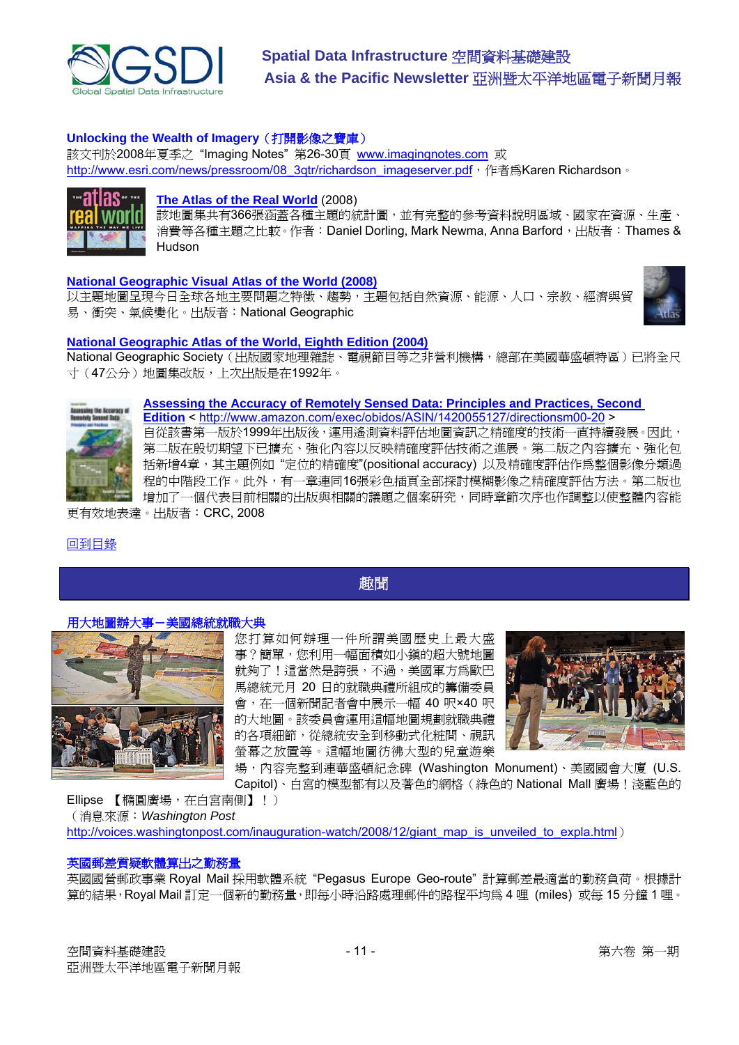

# **Unlocking the Wealth of Imagery**(打開影像之寶庫)

該文刊於2008年夏季之 "Imaging Notes" 第26-30頁 www.imagingnotes.com 或 http://www.esri.com/news/pressroom/08\_3qtr/richardson\_imageserver.pdf, 作者為Karen Richardson。



#### **The Atlas of the Real World** (2008)

該地圖集共有366張涵蓋各種主題的統計圖,並有完整的參考資料說明區域、國家在資源、生產、 消費等各種主題之比較。作者: Daniel Dorling, Mark Newma, Anna Barford, 出版者: Thames & Hudson

# **National Geographic Visual Atlas of the World (2008)**

以主題地圖呈現今日全球各地主要問題之特徵、趨勢,主題包括自然資源、能源、人口、宗教、經濟與貿 易、衝突、氣候變化。出版者:National Geographic



# **National Geographic Atlas of the World, Eighth Edition (2004)**

National Geographic Society (出版國家地理雜誌、電視節目等之非營利機構,總部在美國華盛頓特區)已將全尺 寸(47公分)地圖集改版,上次出版是在1992年。



# **Assessing the Accuracy of Remotely Sensed Data: Principles and Practices, Second**

**Edition** < http://www.amazon.com/exec/obidos/ASIN/1420055127/directionsm00-20 > 自從該書第一版於1999年出版後,運用遙測資料評估地圖資訊之精確度的技術一直持續發展。因此, 第二版在殷切期望下已擴充、強化內容以反映精確度評估技術之進展。第二版之內容擴充、強化包 括新增4章,其主題例如 "定位的精確度"(positional accuracy) 以及精確度評估作為整個影像分類過 程的中階段工作。此外,有一章連同16張彩色插頁全部探討模糊影像之精確度評估方法。第二版也 增加了一個代表目前相關的出版與相關的議題之個案研究,同時章節次序也作調整以使整體內容能

更有效地表達。出版者:CRC, 2008

# 回到目錄

趣聞

# 用大地圖辦大事一美國總統就職大典



您打算如何辦理一件所謂美國歷史上最大盛 事?簡單,您利用一幅面積如小鎮的超大號地圖 就夠了!這當然是誇張,不過,美國軍方為歐巴 馬總統元月 20 日的就職典禮所組成的籌備委員 會,在一個新聞記者會中展示一幅 40 呎×40 呎 的大地圖。該委員會運用這幅地圖規劃就職典禮 的各項細節,從總統安全到移動式化粧間、視訊 螢幕之放置等。這幅地圖彷彿大型的兒童遊樂



場,內容完整到連華盛頓紀念碑 (Washington Monument)、美國國會大廈 (U.S. Capitol)、白宮的模型都有以及著色的網格(綠色的 National Mall 廣場!淺藍色的

Ellipse 【橢圓廣場,在白宮南側】!) (消息來源:*Washington Post* http://voices.washingtonpost.com/inauguration-watch/2008/12/giant\_map\_is\_unveiled\_to\_expla.html)

#### 英國郵差質疑軟體算出之勤務量

英國國營郵政事業 Royal Mail 採用軟體系統 "Pegasus Europe Geo-route" 計算郵差最適當的勤務負荷。根據計 算的結果,Royal Mail 訂定一個新的勤務量,即每小時沿路處理郵件的路程平均為 4 哩 (miles) 或每 15 分鐘 1 哩。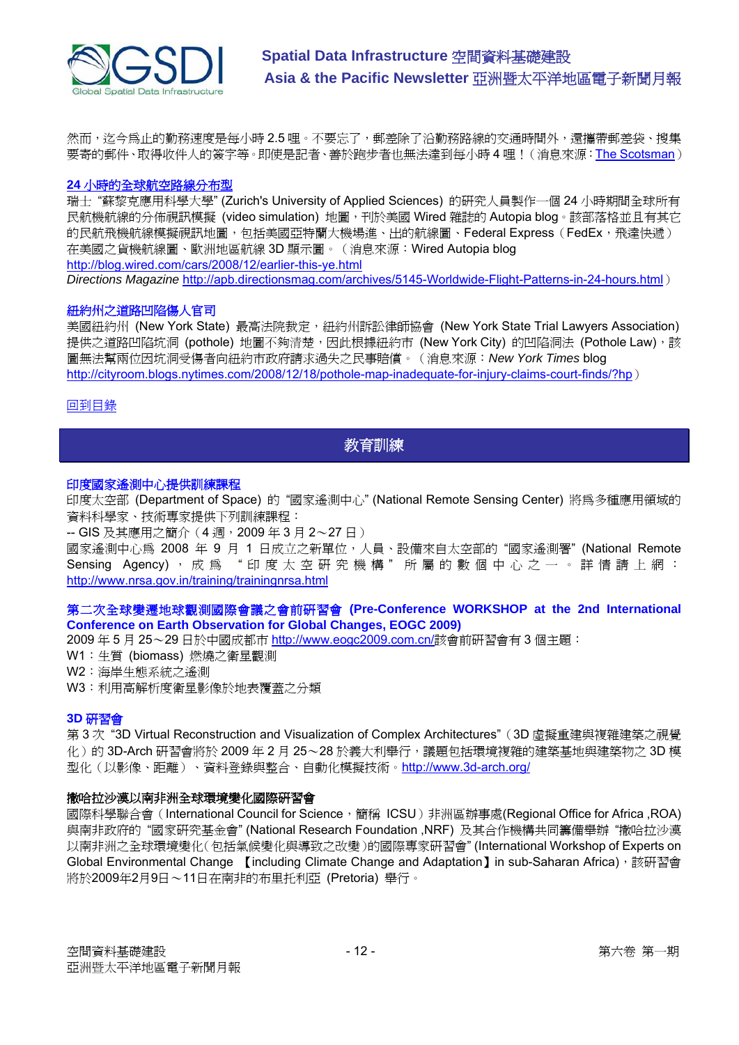

然而,迄今為止的勤務速度是每小時 2.5 哩。不要忘了,郵差除了沿勤務路線的交通時間外,還攜帶郵差袋、搜集 要寄的郵件、取得收件人的簽字等。即使是記者、善於跑步者也無法達到每小時4哩!(消息來源:The Scotsman)

#### **24** 小時的全球航空路線分布型

瑞士 "蘇黎克應用科學大學" (Zurich's University of Applied Sciences) 的研究人員製作一個 24 小時期間全球所有 民航機航線的分佈視訊模擬 (video simulation) 地圖,刊於美國 Wired 雜誌的 Autopia blog。該部落格並且有其它 的民航飛機航線模擬視訊地圖,包括美國亞特蘭大機場進、出的航線圖、Federal Express(FedEx,飛達快遞) 在美國之貨機航線圖、歐洲地區航線 3D 顯示圖。(消息來源:Wired Autopia blog http://blog.wired.com/cars/2008/12/earlier-this-ye.html *Directions Magazine* http://apb.directionsmag.com/archives/5145-Worldwide-Flight-Patterns-in-24-hours.html)

# 紐約州之道路凹陷傷人官司

美國紐約州 (New York State) 最高法院裁定,紐約州訴訟律師協會 (New York State Trial Lawyers Association) 提供之道路凹陷坑洞 (pothole) 地圖不夠清楚,因此根據紐約市 (New York City) 的凹陷洞法 (Pothole Law), 該 圖無法幫兩位因坑洞受傷者向紐約市政府請求過失之民事賠償。(消息來源:*New York Times* blog http://cityroom.blogs.nytimes.com/2008/12/18/pothole-map-inadequate-for-injury-claims-court-finds/?hp)

#### 回到目錄

# 教育訓練

# 印度國家遙測中心提供訓練課程

印度太空部 (Department of Space) 的 "國家遙測中心" (National Remote Sensing Center) 將為多種應用領域的 資料科學家、技術專家提供下列訓練課程:

-- GIS 及其應用之簡介 (4 週,2009 年 3 月 2~27 日 )

國家遙測中心為 2008 年 9 月 1 日成立之新單位,人員、設備來自太空部的"國家遙測署" (National Remote Sensing Agency), 成為 "印度太空研究機構"所屬的數個中心之一。詳情請上網: http://www.nrsa.gov.in/training/trainingnrsa.html

# 第二次全球變遷地球觀測國際會議之會前研習會 **(Pre-Conference WORKSHOP at the 2nd International Conference on Earth Observation for Global Changes, EOGC 2009)**

2009 年 5 月 25~29 日於中國成都市 http://www.eogc2009.com.cn/該會前研習會有 3 個主題:

- W1:生質 (biomass) 燃燒之衛星觀測
- W2:海岸生態系統之遙測
- W3:利用高解析度衛星影像於地表覆蓋之分類

# **3D** 研習會

第 3 次 "3D Virtual Reconstruction and Visualization of Complex Architectures" (3D 虛擬重建與複雜建築之視覺 化)的 3D-Arch 研習會將於 2009年2月 25~28於義大利舉行,議題包括環境複雜的建築基地與建築物之 3D模 型化(以影像、距離)、資料登錄與整合、自動化模擬技術。http://www.3d-arch.org/

# 撒哈拉沙漠以南非洲全球環境變化國際研習會

國際科學聯合會 (International Council for Science, 簡稱 ICSU) 非洲區辦事處(Regional Office for Africa, ROA) 與南非政府的 "國家研究基金會" (National Research Foundation ,NRF) 及其合作機構共同籌備舉辦 "撒哈拉沙漠 以南非洲之全球環境變化(包括氣候變化與導致之改變)的國際專家研習會" (International Workshop of Experts on Global Environmental Change 【including Climate Change and Adaptation】in sub-Saharan Africa),該研習會 將於2009年2月9日~11日在南非的布里托利亞 (Pretoria) 舉行。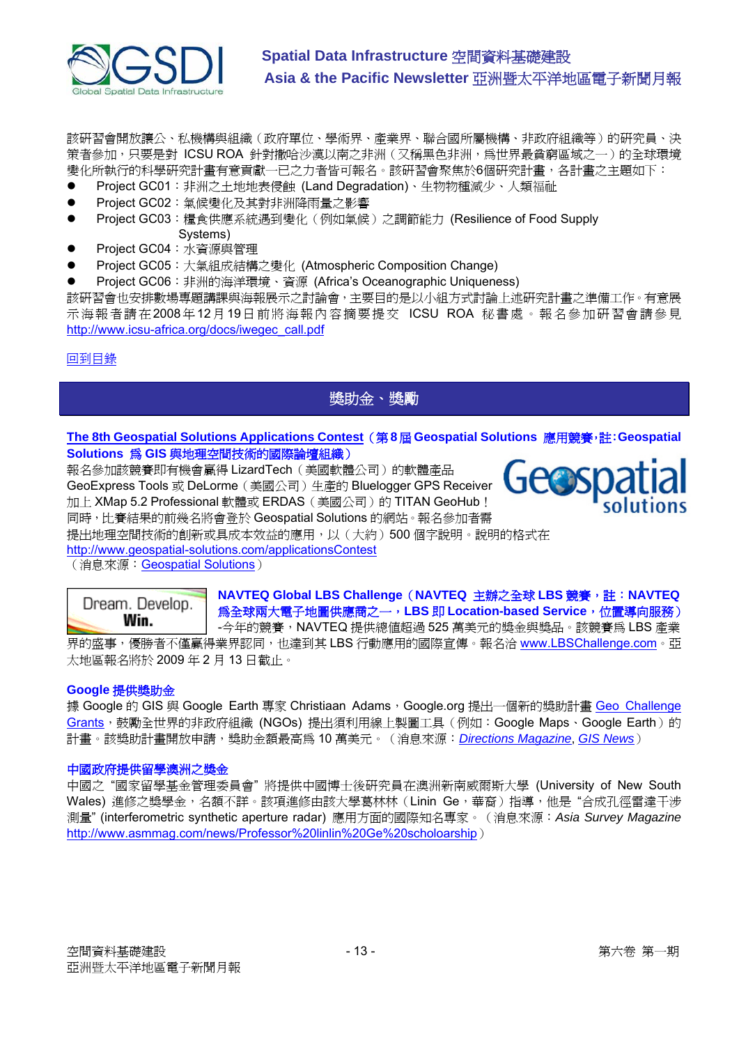

該研習會開放讓公、私機構與組織(政府單位、學術界、產業界、聯合國所屬機構、非政府組織等)的研究員、決 策者參加,只要是對 ICSU ROA 針對撒哈沙漠以南之非洲(又稱黑色非洲,為世界最貧窮區域之一)的全球環境 變化所執行的科學研究計書有意貢獻一已之力者皆可報名。該研習會聚焦於6個研究計書,各計書之主題如下:

- Project GC01: 非洲之土地地表侵蝕 (Land Degradation)、生物物種減少、人類福祉
- Project GC02: 氣候變化及其對非洲降雨量之影響
- Project GC03: 糧食供應系統遇到變化(例如氣候)之調節能力 (Resilience of Food Supply Systems)
- Project GC04: 水資源與管理
- Project GC05: 大氣組成結構之變化 (Atmospheric Composition Change)
- Project GC06: 非洲的海洋環境、資源 (Africa's Oceanographic Uniqueness)

該研習會也安排數場專題講課與海報展示之討論會,主要目的是以小組方式討論上述研究計畫之準備工作。有意展 示海報者請在2008年12月19日前將海報內容摘要提交 ICSU ROA 秘書處。報名參加研習會請參見 http://www.icsu-africa.org/docs/iwegec\_call.pdf

# 回到目錄

# 獎助金、獎勵

# **The 8th Geospatial Solutions Applications Contest**(第 **8**屆 **Geospatial Solutions** 應用競賽,註:**Geospatial Solutions** 為 **GIS** 與地理空間技術的國際論壇組織)

報名參加該競賽即有機會贏得 LizardTech(美國軟體公司)的軟體產品 GeoExpress Tools 或 DeLorme(美國公司)生產的 Bluelogger GPS Receiver 加上 XMap 5.2 Professional 軟體或 ERDAS (美國公司)的 TITAN GeoHub! 同時,比賽結果的前幾名將會登於 Geospatial Solutions 的網站。報名參加者需



提出地理空間技術的創新或具成本效益的應用,以(大約)500個字說明。說明的格式在

http://www.geospatial-solutions.com/applicationsContest

(消息來源:Geospatial Solutions)



**NAVTEQ Global LBS Challenge**(**NAVTEQ** 主辦之全球 **LBS** 競賽,註:**NAVTEQ** 為全球兩大電子地圖供應商之一,**LBS** 即 **Location-based Service**,位置導向服務)

-今年的競賽,NAVTEQ提供總值超過 525 萬美元的獎金與獎品。該競賽為 LBS 產業 界的盛事,優勝者不僅贏得業界認同,也達到其 LBS 行動應用的國際宣傳。報名洽 www.LBSChallenge.com。亞 太地區報名將於 2009 年 2 月 13 日截止。

# **Google** 提供獎助金

據 Google 的 GIS 與 Google Earth 專家 Christiaan Adams, Google.org 提出一個新的獎助計書 Geo Challenge Grants, 鼓勵全世界的非政府組織 (NGOs) 提出須利用線上製圖工具(例如: Google Maps、Google Earth)的 計畫。該獎助計畫開放申請,獎助金額最高為 10 萬美元。(消息來源:*Directions Magazine*, *GIS News*)

# 中國政府提供留學澳洲之獎金

中國之 "國家留學基金管理委員會" 將提供中國博士後研究員在澳洲新南威爾斯大學 (University of New South Wales) 進修之獎學金, 名額不詳。該項進修由該大學葛林林 (Linin Ge, 華裔) 指導, 他是"合成孔徑雷達干涉 測量" (interferometric synthetic aperture radar) 應用方面的國際知名專家。(消息來源:*Asia Survey Magazine* http://www.asmmag.com/news/Professor%20linlin%20Ge%20scholoarship)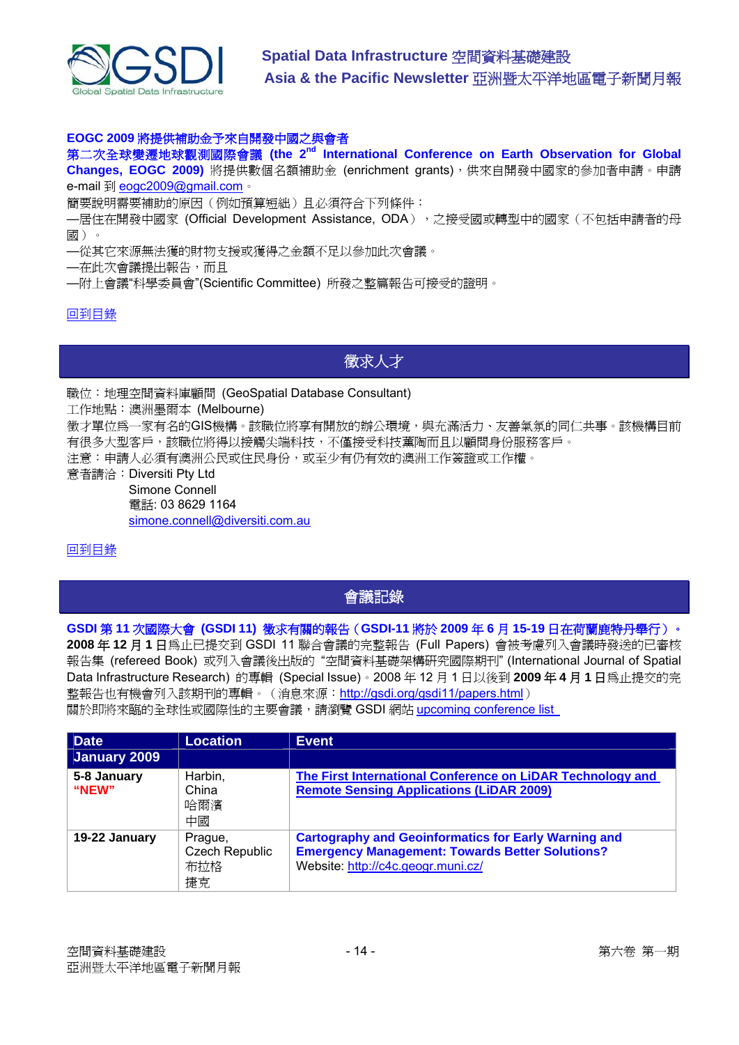

# **EOGC 2009** 將提供補助金予來自開發中國之與會者

# 第二次全球變遷地球觀測國際會議 (the 2<sup>nd</sup> International Conference on Earth Observation for Global

**Changes, EOGC 2009)** 將提供數個名額補助金 (enrichment grants),供來自開發中國家的參加者申請。申請 e-mail 到 eogc2009@gmail.com。

簡要說明需要補助的原因(例如預算短絀)且必須符合下列條件:

—居住在開發中國家 (Official Development Assistance, ODA), 之接受國或轉型中的國家 (不包括申請者的母 國)。

—從其它來源無法獲的財物支援或獲得之金額不足以參加此次會議。

—在此次會議提出報告,而且

—附上會議"科學委員會"(Scientific Committee) 所發之整篇報告可接受的證明。

#### 回到目錄

# 徵求人才

職位:地理空間資料庫顧問 (GeoSpatial Database Consultant)

工作地點:澳洲墨爾本 (Melbourne)

徵才單位為一家有名的GIS機構。該職位將享有開放的辦公環境,與充滿活力、友善氣氛的同仁共事。該機構目前 有很多大型客戶,該職位將得以接觸尖端科技,不僅接受科技薰陶而且以顧問身份服務客戶。

注意:申請人必須有澳洲公民或住民身份,或至少有仍有效的澳洲工作簽證或工作權。

意者請洽:Diversiti Pty Ltd Simone Connell 電話: 03 8629 1164 simone.connell@diversiti.com.au

# 回到目錄

# 會議記錄

# **GSDI** 第 **11** 次國際大會 **(GSDI 11)** 徵求有關的報告(**GSDI-11** 將於 **2009** 年 **6** 月 **15-19** 日在荷蘭鹿特丹舉行)。

**2008** 年 **12** 月 **1** 日為止已提交到 GSDI 11 聯合會議的完整報告 (Full Papers) 會被考慮列入會議時發送的已審核 報告集 (refereed Book) 或列入會議後出版的 "空間資料基礎架構研究國際期刊" (International Journal of Spatial Data Infrastructure Research) 的專輯 (Special Issue)。2008 年 12 月 1 日以後到 **2009** 年 **4** 月 **1** 日為止提交的完 整報告也有機會列入該期刊的專輯。(消息來源:http://gsdi.org/gsdi11/papers.html) 關於即將來臨的全球性或國際性的主要會議,請瀏覽 GSDI 網站 upcoming conference list

| <b>Date</b>          | <b>Location</b>                               | Event                                                                                                                                                       |
|----------------------|-----------------------------------------------|-------------------------------------------------------------------------------------------------------------------------------------------------------------|
| January 2009         |                                               |                                                                                                                                                             |
| 5-8 January<br>"NEW" | Harbin,<br>China<br>哈爾濱<br>中國                 | The First International Conference on LiDAR Technology and<br><b>Remote Sensing Applications (LiDAR 2009)</b>                                               |
| 19-22 January        | Prague,<br><b>Czech Republic</b><br>布拉格<br>捷克 | <b>Cartography and Geoinformatics for Early Warning and</b><br><b>Emergency Management: Towards Better Solutions?</b><br>Website: http://c4c.geogr.muni.cz/ |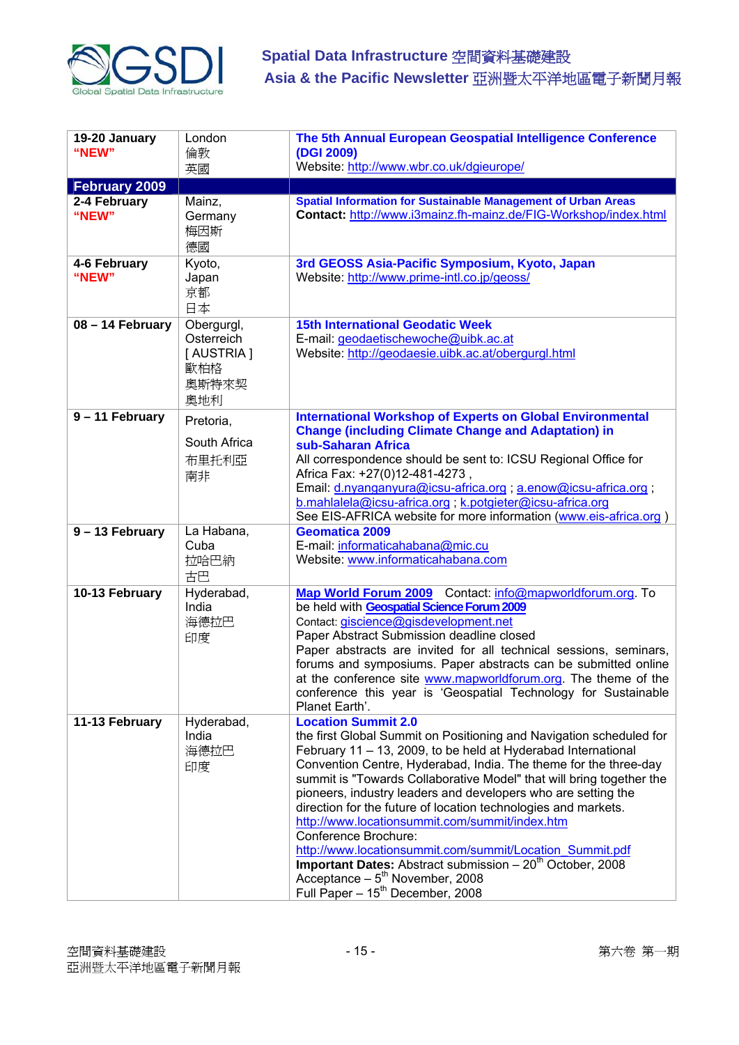

| 19-20 January<br>"NEW"                        | London<br>倫敦                                                 | The 5th Annual European Geospatial Intelligence Conference<br>(DGI 2009)<br>Website: http://www.wbr.co.uk/dgieurope/                                                                                                                                                                                                                                                                                                                                                                                                                                                                                                                                                                                                                                 |
|-----------------------------------------------|--------------------------------------------------------------|------------------------------------------------------------------------------------------------------------------------------------------------------------------------------------------------------------------------------------------------------------------------------------------------------------------------------------------------------------------------------------------------------------------------------------------------------------------------------------------------------------------------------------------------------------------------------------------------------------------------------------------------------------------------------------------------------------------------------------------------------|
|                                               | 英國                                                           |                                                                                                                                                                                                                                                                                                                                                                                                                                                                                                                                                                                                                                                                                                                                                      |
| <b>February 2009</b><br>2-4 February<br>"NEW" | Mainz,<br>Germany<br>梅因斯<br>德國                               | <b>Spatial Information for Sustainable Management of Urban Areas</b><br>Contact: http://www.i3mainz.fh-mainz.de/FIG-Workshop/index.html                                                                                                                                                                                                                                                                                                                                                                                                                                                                                                                                                                                                              |
| 4-6 February<br>"NEW"                         | Kyoto,<br>Japan<br>京都<br>日本                                  | 3rd GEOSS Asia-Pacific Symposium, Kyoto, Japan<br>Website: http://www.prime-intl.co.jp/geoss/                                                                                                                                                                                                                                                                                                                                                                                                                                                                                                                                                                                                                                                        |
| 08 - 14 February                              | Obergurgl,<br>Osterreich<br>[AUSTRIA]<br>歐柏格<br>奧斯特來契<br>奧地利 | <b>15th International Geodatic Week</b><br>E-mail: geodaetischewoche@uibk.ac.at<br>Website: http://geodaesie.uibk.ac.at/obergurgl.html                                                                                                                                                                                                                                                                                                                                                                                                                                                                                                                                                                                                               |
| 9-11 February                                 | Pretoria,<br>South Africa<br>布里托利亞<br>南非                     | <b>International Workshop of Experts on Global Environmental</b><br><b>Change (including Climate Change and Adaptation) in</b><br>sub-Saharan Africa<br>All correspondence should be sent to: ICSU Regional Office for<br>Africa Fax: +27(0)12-481-4273,<br>Email: d.nyanganyura@icsu-africa.org ; a.enow@icsu-africa.org ;<br>b.mahlalela@icsu-africa.org; k.potgieter@icsu-africa.org<br>See EIS-AFRICA website for more information (www.eis-africa.org)                                                                                                                                                                                                                                                                                          |
| 9 - 13 February                               | La Habana,<br>Cuba<br>拉哈巴納<br>古巴                             | <b>Geomatica 2009</b><br>E-mail: informaticahabana@mic.cu<br>Website: www.informaticahabana.com                                                                                                                                                                                                                                                                                                                                                                                                                                                                                                                                                                                                                                                      |
| 10-13 February                                | Hyderabad,<br>India<br>海德拉巴<br>印度                            | Map World Forum 2009 Contact: info@mapworldforum.org. To<br>be held with Geospatial Science Forum 2009<br>Contact: giscience@gisdevelopment.net<br>Paper Abstract Submission deadline closed<br>Paper abstracts are invited for all technical sessions, seminars,<br>forums and symposiums. Paper abstracts can be submitted online<br>at the conference site www.mapworldforum.org. The theme of the<br>conference this year is 'Geospatial Technology for Sustainable<br>Planet Earth'.                                                                                                                                                                                                                                                            |
| 11-13 February                                | Hyderabad,<br>India<br>海德拉巴<br>印度                            | <b>Location Summit 2.0</b><br>the first Global Summit on Positioning and Navigation scheduled for<br>February 11 - 13, 2009, to be held at Hyderabad International<br>Convention Centre, Hyderabad, India. The theme for the three-day<br>summit is "Towards Collaborative Model" that will bring together the<br>pioneers, industry leaders and developers who are setting the<br>direction for the future of location technologies and markets.<br>http://www.locationsummit.com/summit/index.htm<br>Conference Brochure:<br>http://www.locationsummit.com/summit/Location Summit.pdf<br>Important Dates: Abstract submission - 20 <sup>th</sup> October, 2008<br>Acceptance $-5th$ November, 2008<br>Full Paper - 15 <sup>th</sup> December, 2008 |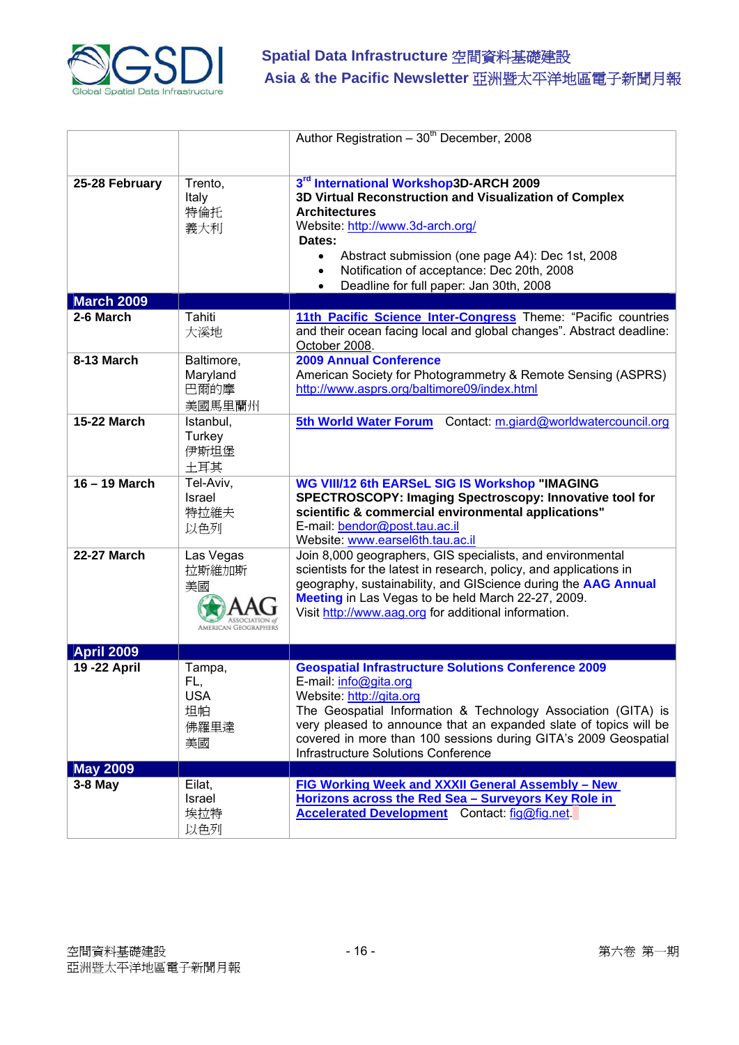

|                    |                                                         | Author Registration $-30^{th}$ December, 2008                                                                                                                                                                                                                                                                                                                   |
|--------------------|---------------------------------------------------------|-----------------------------------------------------------------------------------------------------------------------------------------------------------------------------------------------------------------------------------------------------------------------------------------------------------------------------------------------------------------|
|                    |                                                         |                                                                                                                                                                                                                                                                                                                                                                 |
| 25-28 February     | Trento,<br>Italy<br>特倫托<br>義大利                          | 3rd International Workshop3D-ARCH 2009<br>3D Virtual Reconstruction and Visualization of Complex<br><b>Architectures</b><br>Website: http://www.3d-arch.org/<br>Dates:<br>Abstract submission (one page A4): Dec 1st, 2008<br>Notification of acceptance: Dec 20th, 2008<br>Deadline for full paper: Jan 30th, 2008<br>$\bullet$                                |
| <b>March 2009</b>  |                                                         |                                                                                                                                                                                                                                                                                                                                                                 |
| 2-6 March          | Tahiti<br>大溪地                                           | 11th Pacific Science Inter-Congress Theme: "Pacific countries<br>and their ocean facing local and global changes". Abstract deadline:<br>October 2008.                                                                                                                                                                                                          |
| 8-13 March         | Baltimore,<br>Maryland<br>巴爾的摩<br>美國馬里蘭州                | <b>2009 Annual Conference</b><br>American Society for Photogrammetry & Remote Sensing (ASPRS)<br>http://www.asprs.org/baltimore09/index.html                                                                                                                                                                                                                    |
| <b>15-22 March</b> | Istanbul,<br>Turkey<br>伊斯坦堡<br>土耳其                      | Contact: m.giard@worldwatercouncil.org<br><b>5th World Water Forum</b>                                                                                                                                                                                                                                                                                          |
| 16 - 19 March      | Tel-Aviv,<br>Israel<br>特拉維夫<br>以色列                      | <b>WG VIII/12 6th EARSeL SIG IS Workshop "IMAGING</b><br>SPECTROSCOPY: Imaging Spectroscopy: Innovative tool for<br>scientific & commercial environmental applications"<br>E-mail: bendor@post.tau.ac.il<br>Website: www.earsel6th.tau.ac.il                                                                                                                    |
| <b>22-27 March</b> | Las Vegas<br>拉斯維加斯<br>美國<br><b>AMERICAN GEOGRAPHERS</b> | Join 8,000 geographers, GIS specialists, and environmental<br>scientists for the latest in research, policy, and applications in<br>geography, sustainability, and GIScience during the AAG Annual<br>Meeting in Las Vegas to be held March 22-27, 2009.<br>Visit http://www.aag.org for additional information.                                                |
| <b>April 2009</b>  |                                                         |                                                                                                                                                                                                                                                                                                                                                                 |
| 19 - 22 April      | Tampa,<br>FL,<br><b>USA</b><br>坦帕<br>佛羅里達<br>美國         | <b>Geospatial Infrastructure Solutions Conference 2009</b><br>E-mail: info@gita.org<br>Website: http://gita.org<br>The Geospatial Information & Technology Association (GITA) is<br>very pleased to announce that an expanded slate of topics will be<br>covered in more than 100 sessions during GITA's 2009 Geospatial<br>Infrastructure Solutions Conference |
| <b>May 2009</b>    |                                                         |                                                                                                                                                                                                                                                                                                                                                                 |
| $3-8$ May          | Eilat,<br>Israel<br>埃拉特<br>以色列                          | FIG Working Week and XXXII General Assembly - New<br>Horizons across the Red Sea - Surveyors Key Role in<br>Accelerated Development Contact: fig@fig.net.                                                                                                                                                                                                       |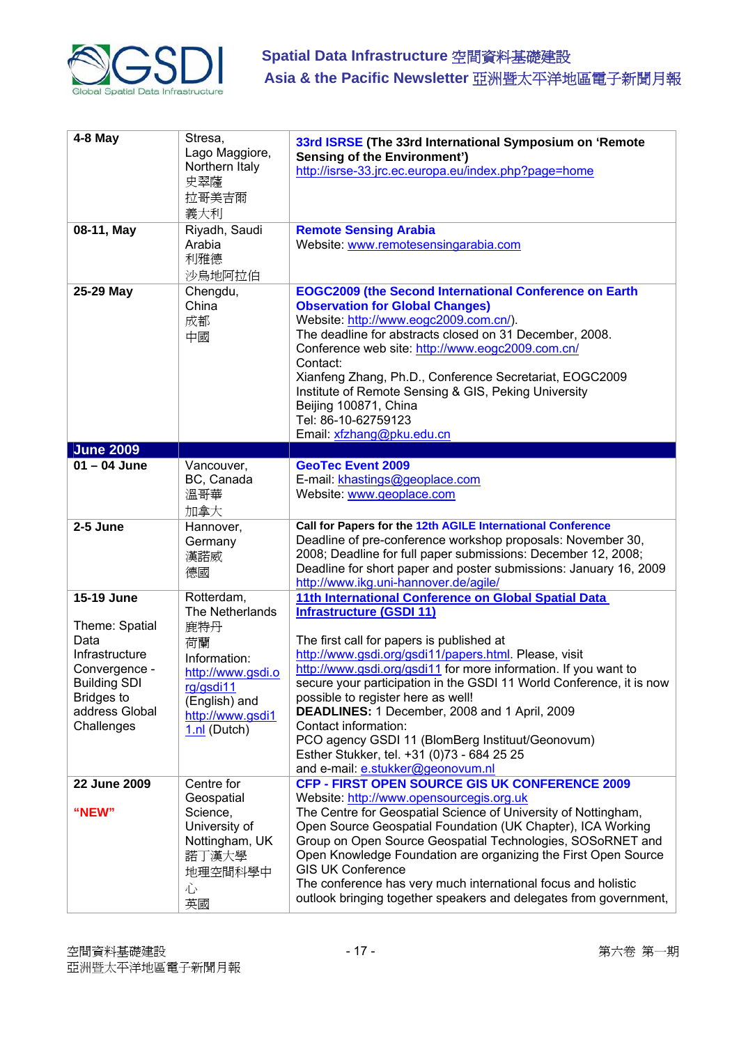

| $4-8$ May                                                                                                                                           | Stresa,<br>Lago Maggiore,<br>Northern Italy<br>史翠薩<br>拉哥美吉爾<br>義大利                                                                                  | 33rd ISRSE (The 33rd International Symposium on 'Remote<br><b>Sensing of the Environment')</b><br>http://isrse-33.jrc.ec.europa.eu/index.php?page=home                                                                                                                                                                                                                                                                                                                                                                                                                                         |
|-----------------------------------------------------------------------------------------------------------------------------------------------------|-----------------------------------------------------------------------------------------------------------------------------------------------------|------------------------------------------------------------------------------------------------------------------------------------------------------------------------------------------------------------------------------------------------------------------------------------------------------------------------------------------------------------------------------------------------------------------------------------------------------------------------------------------------------------------------------------------------------------------------------------------------|
| 08-11, May                                                                                                                                          | Riyadh, Saudi<br>Arabia<br>利雅德<br>沙鳥地阿拉伯                                                                                                            | <b>Remote Sensing Arabia</b><br>Website: www.remotesensingarabia.com                                                                                                                                                                                                                                                                                                                                                                                                                                                                                                                           |
| 25-29 May                                                                                                                                           | Chengdu,<br>China<br>成都<br>中國                                                                                                                       | <b>EOGC2009 (the Second International Conference on Earth</b><br><b>Observation for Global Changes)</b><br>Website: http://www.eogc2009.com.cn/).<br>The deadline for abstracts closed on 31 December, 2008.<br>Conference web site: http://www.eogc2009.com.cn/<br>Contact:<br>Xianfeng Zhang, Ph.D., Conference Secretariat, EOGC2009<br>Institute of Remote Sensing & GIS, Peking University<br>Beijing 100871, China<br>Tel: 86-10-62759123<br>Email: xfzhang@pku.edu.cn                                                                                                                   |
| <b>June 2009</b>                                                                                                                                    |                                                                                                                                                     |                                                                                                                                                                                                                                                                                                                                                                                                                                                                                                                                                                                                |
| $01 - 04$ June                                                                                                                                      | Vancouver,<br>BC, Canada<br>溫哥華<br>加拿大                                                                                                              | <b>GeoTec Event 2009</b><br>E-mail: khastings@geoplace.com<br>Website: www.geoplace.com                                                                                                                                                                                                                                                                                                                                                                                                                                                                                                        |
| 2-5 June                                                                                                                                            | Hannover,<br>Germany<br>漢諾威<br>德國                                                                                                                   | Call for Papers for the 12th AGILE International Conference<br>Deadline of pre-conference workshop proposals: November 30,<br>2008; Deadline for full paper submissions: December 12, 2008;<br>Deadline for short paper and poster submissions: January 16, 2009<br>http://www.ikg.uni-hannover.de/agile/                                                                                                                                                                                                                                                                                      |
| 15-19 June<br>Theme: Spatial<br>Data<br>Infrastructure<br>Convergence -<br><b>Building SDI</b><br><b>Bridges to</b><br>address Global<br>Challenges | Rotterdam,<br>The Netherlands<br>鹿特丹<br>荷蘭<br>Information:<br>http://www.gsdi.o<br>rg/gsdi11<br>(English) and<br>http://www.gsdi1<br>$1.nI$ (Dutch) | 11th International Conference on Global Spatial Data<br><b>Infrastructure (GSDI 11)</b><br>The first call for papers is published at<br>http://www.gsdi.org/gsdi11/papers.html. Please, visit<br>http://www.gsdi.org/gsdi11 for more information. If you want to<br>secure your participation in the GSDI 11 World Conference, it is now<br>possible to register here as well!<br>DEADLINES: 1 December, 2008 and 1 April, 2009<br>Contact information:<br>PCO agency GSDI 11 (BlomBerg Instituut/Geonovum)<br>Esther Stukker, tel. +31 (0)73 - 684 25 25<br>and e-mail: e.stukker@geonovum.nl |
| 22 June 2009<br>"NEW"                                                                                                                               | Centre for<br>Geospatial<br>Science,<br>University of<br>Nottingham, UK<br>諾丁漢大學<br>地理空間科學中<br>心<br>英國                                              | CFP - FIRST OPEN SOURCE GIS UK CONFERENCE 2009<br>Website: http://www.opensourcegis.org.uk<br>The Centre for Geospatial Science of University of Nottingham,<br>Open Source Geospatial Foundation (UK Chapter), ICA Working<br>Group on Open Source Geospatial Technologies, SOSoRNET and<br>Open Knowledge Foundation are organizing the First Open Source<br><b>GIS UK Conference</b><br>The conference has very much international focus and holistic<br>outlook bringing together speakers and delegates from government,                                                                  |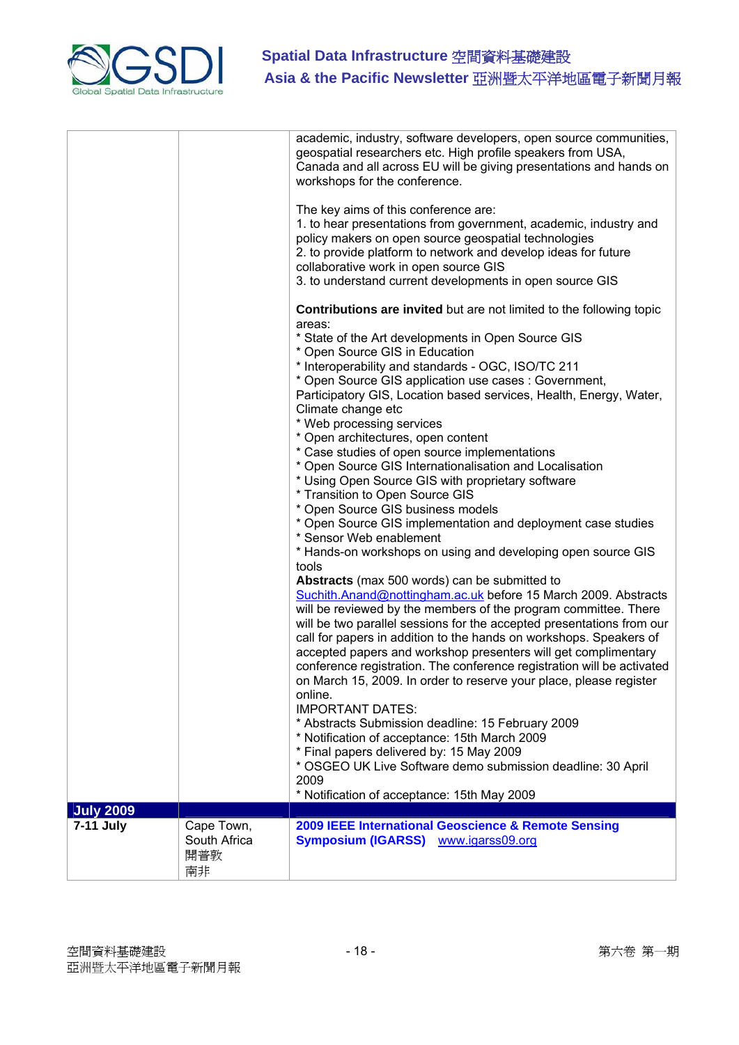

|                  |                                         | academic, industry, software developers, open source communities,<br>geospatial researchers etc. High profile speakers from USA,<br>Canada and all across EU will be giving presentations and hands on<br>workshops for the conference.                                                                                                                                                                                                                                                                                                                                                                                                                                                                                                                                                                                                                                                                                                                                                                                                                                                                                                                                                                                                                                                                                                                                                                                                                               |
|------------------|-----------------------------------------|-----------------------------------------------------------------------------------------------------------------------------------------------------------------------------------------------------------------------------------------------------------------------------------------------------------------------------------------------------------------------------------------------------------------------------------------------------------------------------------------------------------------------------------------------------------------------------------------------------------------------------------------------------------------------------------------------------------------------------------------------------------------------------------------------------------------------------------------------------------------------------------------------------------------------------------------------------------------------------------------------------------------------------------------------------------------------------------------------------------------------------------------------------------------------------------------------------------------------------------------------------------------------------------------------------------------------------------------------------------------------------------------------------------------------------------------------------------------------|
|                  |                                         | The key aims of this conference are:<br>1. to hear presentations from government, academic, industry and<br>policy makers on open source geospatial technologies<br>2. to provide platform to network and develop ideas for future<br>collaborative work in open source GIS<br>3. to understand current developments in open source GIS                                                                                                                                                                                                                                                                                                                                                                                                                                                                                                                                                                                                                                                                                                                                                                                                                                                                                                                                                                                                                                                                                                                               |
|                  |                                         | <b>Contributions are invited</b> but are not limited to the following topic<br>areas:<br>* State of the Art developments in Open Source GIS<br>* Open Source GIS in Education<br>* Interoperability and standards - OGC, ISO/TC 211<br>* Open Source GIS application use cases : Government,<br>Participatory GIS, Location based services, Health, Energy, Water,<br>Climate change etc<br>* Web processing services<br>* Open architectures, open content<br>* Case studies of open source implementations<br>* Open Source GIS Internationalisation and Localisation<br>* Using Open Source GIS with proprietary software<br>* Transition to Open Source GIS<br>* Open Source GIS business models<br>* Open Source GIS implementation and deployment case studies<br>* Sensor Web enablement<br>* Hands-on workshops on using and developing open source GIS<br>tools<br>Abstracts (max 500 words) can be submitted to<br>Suchith.Anand@nottingham.ac.uk before 15 March 2009. Abstracts<br>will be reviewed by the members of the program committee. There<br>will be two parallel sessions for the accepted presentations from our<br>call for papers in addition to the hands on workshops. Speakers of<br>accepted papers and workshop presenters will get complimentary<br>conference registration. The conference registration will be activated<br>on March 15, 2009. In order to reserve your place, please register<br>online.<br><b>IMPORTANT DATES:</b> |
|                  |                                         | * Abstracts Submission deadline: 15 February 2009<br>* Notification of acceptance: 15th March 2009<br>* Final papers delivered by: 15 May 2009<br>* OSGEO UK Live Software demo submission deadline: 30 April<br>2009<br>* Notification of acceptance: 15th May 2009                                                                                                                                                                                                                                                                                                                                                                                                                                                                                                                                                                                                                                                                                                                                                                                                                                                                                                                                                                                                                                                                                                                                                                                                  |
| <b>July 2009</b> |                                         |                                                                                                                                                                                                                                                                                                                                                                                                                                                                                                                                                                                                                                                                                                                                                                                                                                                                                                                                                                                                                                                                                                                                                                                                                                                                                                                                                                                                                                                                       |
| 7-11 July        | Cape Town,<br>South Africa<br>開普敦<br>南非 | 2009 IEEE International Geoscience & Remote Sensing<br><b>Symposium (IGARSS)</b> www.igarss09.org                                                                                                                                                                                                                                                                                                                                                                                                                                                                                                                                                                                                                                                                                                                                                                                                                                                                                                                                                                                                                                                                                                                                                                                                                                                                                                                                                                     |
|                  |                                         |                                                                                                                                                                                                                                                                                                                                                                                                                                                                                                                                                                                                                                                                                                                                                                                                                                                                                                                                                                                                                                                                                                                                                                                                                                                                                                                                                                                                                                                                       |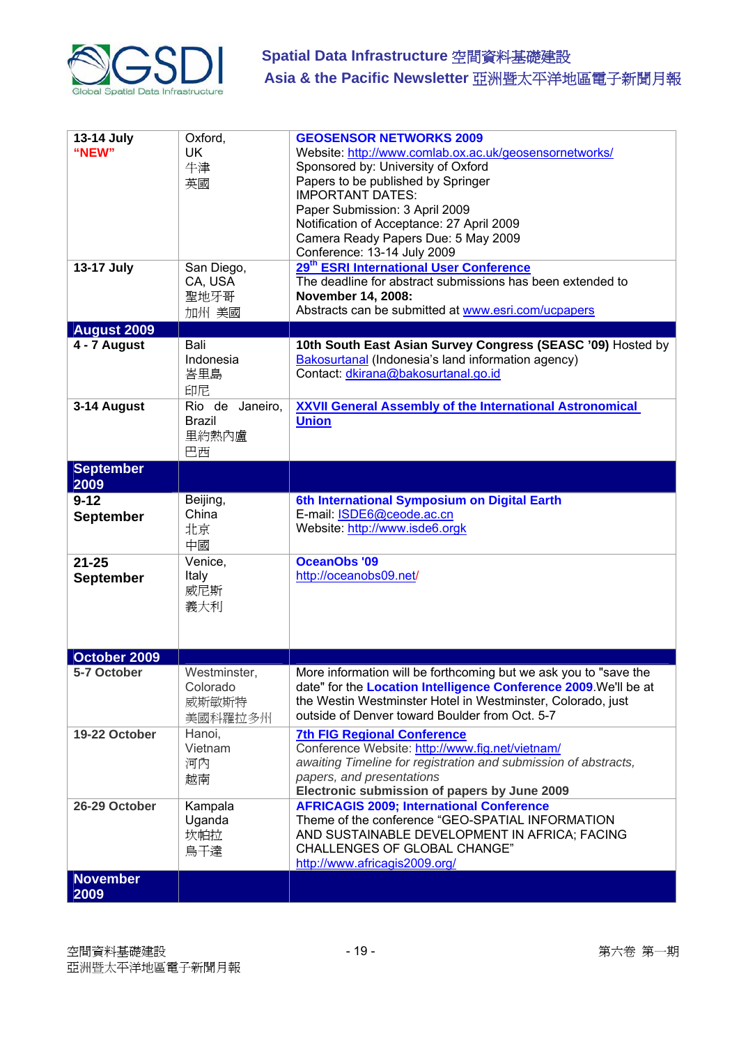

| 13-14 July<br>"NEW"           | Oxford,<br><b>UK</b><br>牛津<br>英國                | <b>GEOSENSOR NETWORKS 2009</b><br>Website: http://www.comlab.ox.ac.uk/geosensornetworks/<br>Sponsored by: University of Oxford<br>Papers to be published by Springer<br><b>IMPORTANT DATES:</b>                                                       |
|-------------------------------|-------------------------------------------------|-------------------------------------------------------------------------------------------------------------------------------------------------------------------------------------------------------------------------------------------------------|
|                               |                                                 | Paper Submission: 3 April 2009<br>Notification of Acceptance: 27 April 2009<br>Camera Ready Papers Due: 5 May 2009<br>Conference: 13-14 July 2009                                                                                                     |
| 13-17 July                    | San Diego,<br>CA, USA<br>聖地牙哥<br>加州 美國          | 29 <sup>th</sup> ESRI International User Conference<br>The deadline for abstract submissions has been extended to<br>November 14, 2008:<br>Abstracts can be submitted at www.esri.com/ucpapers                                                        |
| <b>August 2009</b>            |                                                 |                                                                                                                                                                                                                                                       |
| 4 - 7 August                  | Bali<br>Indonesia<br>峇里島<br>印尼                  | 10th South East Asian Survey Congress (SEASC '09) Hosted by<br>Bakosurtanal (Indonesia's land information agency)<br>Contact: dkirana@bakosurtanal.go.id                                                                                              |
| 3-14 August                   | Rio de Janeiro,<br><b>Brazil</b><br>里約熱內盧<br>巴西 | <b>XXVII General Assembly of the International Astronomical</b><br><b>Union</b>                                                                                                                                                                       |
| <b>September</b><br>2009      |                                                 |                                                                                                                                                                                                                                                       |
| $9 - 12$<br><b>September</b>  | Beijing,<br>China<br>北京<br>中國                   | 6th International Symposium on Digital Earth<br>E-mail: ISDE6@ceode.ac.cn<br>Website: http://www.isde6.orgk                                                                                                                                           |
| $21 - 25$<br><b>September</b> | Venice,<br>Italy<br>威尼斯<br>義大利                  | <b>OceanObs '09</b><br>http://oceanobs09.net/                                                                                                                                                                                                         |
| October 2009                  |                                                 |                                                                                                                                                                                                                                                       |
| 5-7 October                   | Westminster,<br>Colorado<br>威斯敏斯特<br>美國科羅拉多州    | More information will be forthcoming but we ask you to "save the<br>date" for the Location Intelligence Conference 2009. We'll be at<br>the Westin Westminster Hotel in Westminster, Colorado, just<br>outside of Denver toward Boulder from Oct. 5-7 |
| 19-22 October                 | Hanoi,<br>Vietnam<br>河內<br>越南                   | <b>7th FIG Regional Conference</b><br>Conference Website: http://www.fig.net/vietnam/<br>awaiting Timeline for registration and submission of abstracts,<br>papers, and presentations<br>Electronic submission of papers by June 2009                 |
| 26-29 October                 | Kampala<br>Uganda<br>坎帕拉<br>烏干達                 | <b>AFRICAGIS 2009; International Conference</b><br>Theme of the conference "GEO-SPATIAL INFORMATION<br>AND SUSTAINABLE DEVELOPMENT IN AFRICA; FACING<br><b>CHALLENGES OF GLOBAL CHANGE"</b><br>http://www.africagis2009.org/                          |
| <b>November</b><br>2009       |                                                 |                                                                                                                                                                                                                                                       |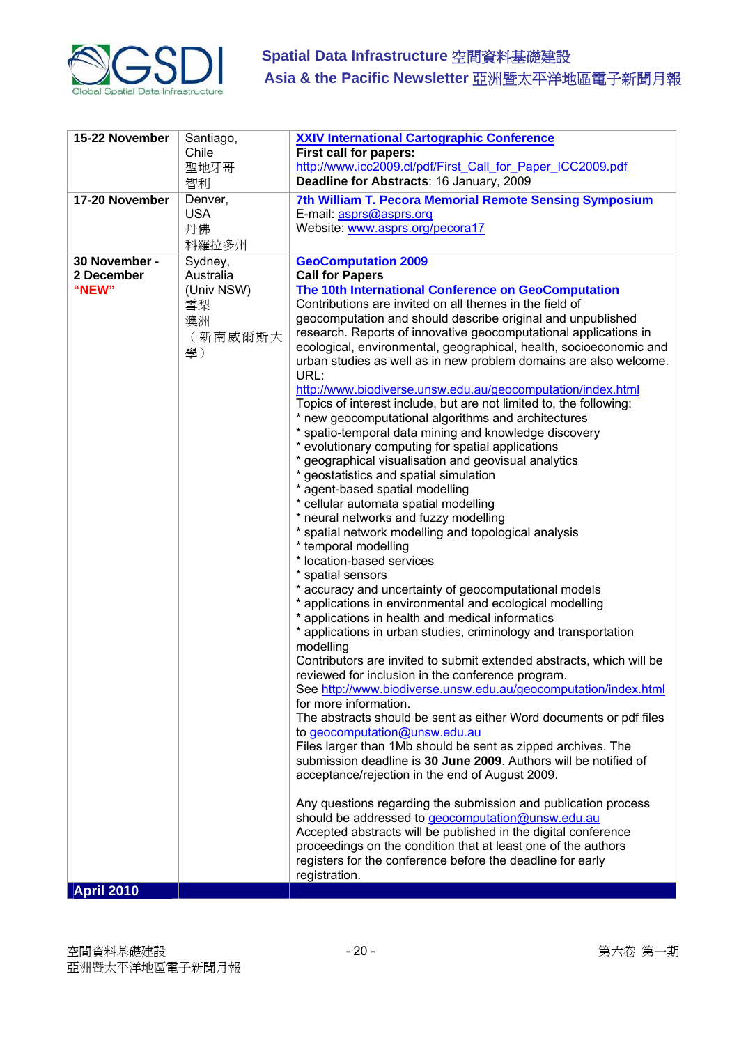

| 15-22 November                       | Santiago,<br>Chile                                              | <b>XXIV International Cartographic Conference</b><br>First call for papers:                                                                                                                                                                                                                                                                                                                                                                                                                                                                                                                                                                                                                                                                                                                                                                                                                                                                                                                                                                                                                                                                                                                                                                                                                                                                                                                                                                                                                                                                                                                                                                                                                                                                                                                                                                                                                                                                                                                                                                                                                                                                                                                                                                              |
|--------------------------------------|-----------------------------------------------------------------|----------------------------------------------------------------------------------------------------------------------------------------------------------------------------------------------------------------------------------------------------------------------------------------------------------------------------------------------------------------------------------------------------------------------------------------------------------------------------------------------------------------------------------------------------------------------------------------------------------------------------------------------------------------------------------------------------------------------------------------------------------------------------------------------------------------------------------------------------------------------------------------------------------------------------------------------------------------------------------------------------------------------------------------------------------------------------------------------------------------------------------------------------------------------------------------------------------------------------------------------------------------------------------------------------------------------------------------------------------------------------------------------------------------------------------------------------------------------------------------------------------------------------------------------------------------------------------------------------------------------------------------------------------------------------------------------------------------------------------------------------------------------------------------------------------------------------------------------------------------------------------------------------------------------------------------------------------------------------------------------------------------------------------------------------------------------------------------------------------------------------------------------------------------------------------------------------------------------------------------------------------|
|                                      | 聖地牙哥<br>智利                                                      | http://www.icc2009.cl/pdf/First Call for Paper ICC2009.pdf<br>Deadline for Abstracts: 16 January, 2009                                                                                                                                                                                                                                                                                                                                                                                                                                                                                                                                                                                                                                                                                                                                                                                                                                                                                                                                                                                                                                                                                                                                                                                                                                                                                                                                                                                                                                                                                                                                                                                                                                                                                                                                                                                                                                                                                                                                                                                                                                                                                                                                                   |
| 17-20 November                       | Denver,<br><b>USA</b><br>丹佛<br>科羅拉多州                            | 7th William T. Pecora Memorial Remote Sensing Symposium<br>E-mail: asprs@asprs.org<br>Website: www.asprs.org/pecora17                                                                                                                                                                                                                                                                                                                                                                                                                                                                                                                                                                                                                                                                                                                                                                                                                                                                                                                                                                                                                                                                                                                                                                                                                                                                                                                                                                                                                                                                                                                                                                                                                                                                                                                                                                                                                                                                                                                                                                                                                                                                                                                                    |
| 30 November -<br>2 December<br>"NEW" | Sydney,<br>Australia<br>(Univ NSW)<br>雪梨<br>澳洲<br>(新南威爾斯大<br>學) | <b>GeoComputation 2009</b><br><b>Call for Papers</b><br>The 10th International Conference on GeoComputation<br>Contributions are invited on all themes in the field of<br>geocomputation and should describe original and unpublished<br>research. Reports of innovative geocomputational applications in<br>ecological, environmental, geographical, health, socioeconomic and<br>urban studies as well as in new problem domains are also welcome.<br>URL:<br>http://www.biodiverse.unsw.edu.au/geocomputation/index.html<br>Topics of interest include, but are not limited to, the following:<br>* new geocomputational algorithms and architectures<br>* spatio-temporal data mining and knowledge discovery<br>* evolutionary computing for spatial applications<br>* geographical visualisation and geovisual analytics<br>* geostatistics and spatial simulation<br>* agent-based spatial modelling<br>* cellular automata spatial modelling<br>* neural networks and fuzzy modelling<br>* spatial network modelling and topological analysis<br>* temporal modelling<br>* location-based services<br>* spatial sensors<br>* accuracy and uncertainty of geocomputational models<br>* applications in environmental and ecological modelling<br>* applications in health and medical informatics<br>* applications in urban studies, criminology and transportation<br>modelling<br>Contributors are invited to submit extended abstracts, which will be<br>reviewed for inclusion in the conference program.<br>See http://www.biodiverse.unsw.edu.au/geocomputation/index.html<br>for more information.<br>The abstracts should be sent as either Word documents or pdf files<br>to geocomputation@unsw.edu.au<br>Files larger than 1Mb should be sent as zipped archives. The<br>submission deadline is 30 June 2009. Authors will be notified of<br>acceptance/rejection in the end of August 2009.<br>Any questions regarding the submission and publication process<br>should be addressed to geocomputation@unsw.edu.au<br>Accepted abstracts will be published in the digital conference<br>proceedings on the condition that at least one of the authors<br>registers for the conference before the deadline for early<br>registration. |
| <b>April 2010</b>                    |                                                                 |                                                                                                                                                                                                                                                                                                                                                                                                                                                                                                                                                                                                                                                                                                                                                                                                                                                                                                                                                                                                                                                                                                                                                                                                                                                                                                                                                                                                                                                                                                                                                                                                                                                                                                                                                                                                                                                                                                                                                                                                                                                                                                                                                                                                                                                          |